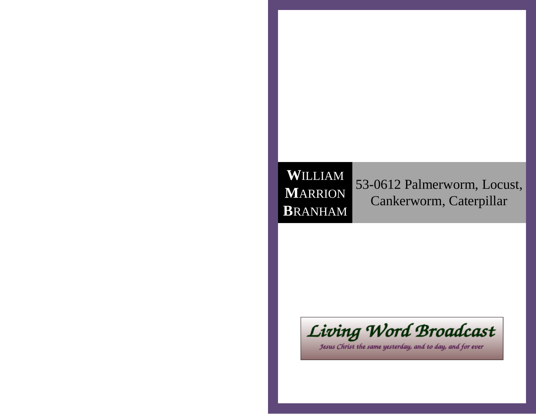## **W**ILLIAM **M**ARRION**B**RANHAM

53-0612 Palmerworm, Locust,Cankerworm, Caterpillar



Jesus Christ the same yesterday, and to day, and for ever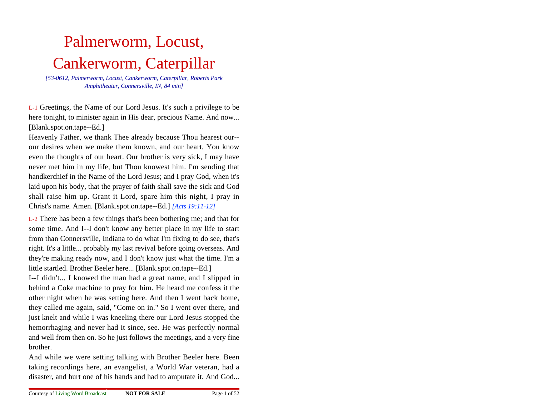# Palmerworm, Locust,Cankerworm, Caterpillar

 *[53-0612, Palmerworm, Locust, Cankerworm, Caterpillar, Roberts ParkAmphitheater, Connersville, IN, 84 min]*

L-1 Greetings, the Name of our Lord Jesus. It's such a privilege to be here tonight, to minister again in His dear, precious Name. And now...[Blank.spot.on.tape--Ed.]

Heavenly Father, we thank Thee already because Thou hearest our-our desires when we make them known, and our heart, You know even the thoughts of our heart. Our brother is very sick, I may have never met him in my life, but Thou knowest him. I'm sending that handkerchief in the Name of the Lord Jesus; and I pray God, when it's laid upon his body, that the prayer of faith shall save the sick and God shall raise him up. Grant it Lord, spare him this night, I pray inChrist's name. Amen. [Blank.spot.on.tape--Ed.] *[Acts 19:11-12]*

L-2 There has been a few things that's been bothering me; and that forsome time. And I--I don't know any better place in my life to startfrom than Connersville, Indiana to do what I'm fixing to do see, that's right. It's a little... probably my last revival before going overseas. And they're making ready now, and I don't know just what the time. I'm alittle startled. Brother Beeler here... [Blank.spot.on.tape--Ed.]

I--I didn't... I knowed the man had a great name, and I slipped in behind a Coke machine to pray for him. He heard me confess it the other night when he was setting here. And then I went back home,they called me again, said, "Come on in." So I went over there, and just knelt and while I was kneeling there our Lord Jesus stopped the hemorrhaging and never had it since, see. He was perfectly normaland well from then on. So he just follows the meetings, and a very finebrother.

And while we were setting talking with Brother Beeler here. Been taking recordings here, an evangelist, a World War veteran, had adisaster, and hurt one of his hands and had to amputate it. And God...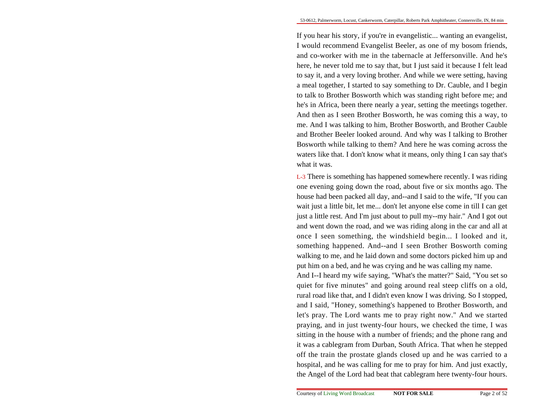If you hear his story, if you're in evangelistic... wanting an evangelist,I would recommend Evangelist Beeler, as one of my bosom friends,and co-worker with me in the tabernacle at Jeffersonville. And he'shere, he never told me to say that, but I just said it because I felt lead to say it, and a very loving brother. And while we were setting, having a meal together, I started to say something to Dr. Cauble, and I begin to talk to Brother Bosworth which was standing right before me; and he's in Africa, been there nearly a year, setting the meetings together.And then as I seen Brother Bosworth, he was coming this a way, to me. And I was talking to him, Brother Bosworth, and Brother Cauble and Brother Beeler looked around. And why was I talking to BrotherBosworth while talking to them? And here he was coming across the waters like that. I don't know what it means, only thing I can say that'swhat it was.

L-3 There is something has happened somewhere recently. I was riding one evening going down the road, about five or six months ago. The house had been packed all day, and--and I said to the wife, "If you can wait just a little bit, let me... don't let anyone else come in till I can getjust a little rest. And I'm just about to pull my--my hair." And I got outand went down the road, and we was riding along in the car and all atonce I seen something, the windshield begin... I looked and it,something happened. And--and I seen Brother Bosworth coming walking to me, and he laid down and some doctors picked him up andput him on a bed, and he was crying and he was calling my name.

And I--I heard my wife saying, "What's the matter?" Said, "You set so quiet for five minutes" and going around real steep cliffs on a old,rural road like that, and I didn't even know I was driving. So I stopped,and I said, "Honey, something's happened to Brother Bosworth, and let's pray. The Lord wants me to pray right now." And we started praying, and in just twenty-four hours, we checked the time, I was sitting in the house with a number of friends; and the phone rang and it was a cablegram from Durban, South Africa. That when he stepped off the train the prostate glands closed up and he was carried to a hospital, and he was calling for me to pray for him. And just exactly,the Angel of the Lord had beat that cablegram here twenty-four hours.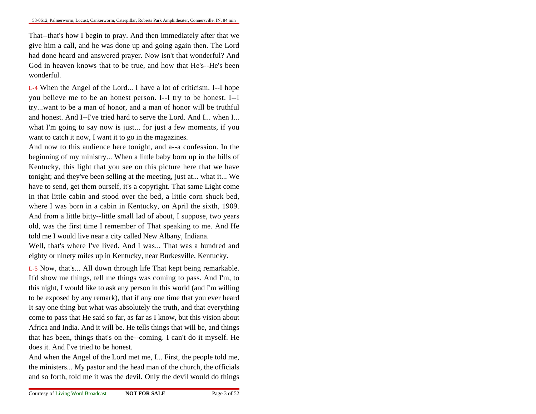That--that's how I begin to pray. And then immediately after that we give him a call, and he was done up and going again then. The Lord had done heard and answered prayer. Now isn't that wonderful? And God in heaven knows that to be true, and how that He's--He's beenwonderful.

L-4 When the Angel of the Lord... I have a lot of criticism. I--I hope you believe me to be an honest person. I--I try to be honest. I--Itry...want to be a man of honor, and a man of honor will be truthfuland honest. And I--I've tried hard to serve the Lord. And I... when I...what I'm going to say now is just... for just a few moments, if youwant to catch it now, I want it to go in the magazines.

And now to this audience here tonight, and a--a confession. In the beginning of my ministry... When a little baby born up in the hills ofKentucky, this light that you see on this picture here that we have tonight; and they've been selling at the meeting, just at... what it... We have to send, get them ourself, it's a copyright. That same Light come in that little cabin and stood over the bed, a little corn shuck bed,where I was born in a cabin in Kentucky, on April the sixth, 1909.And from a little bitty--little small lad of about, I suppose, two years old, was the first time I remember of That speaking to me. And Hetold me I would live near a city called New Albany, Indiana.

Well, that's where I've lived. And I was... That was a hundred and eighty or ninety miles up in Kentucky, near Burkesville, Kentucky.

L-5 Now, that's... All down through life That kept being remarkable.It'd show me things, tell me things was coming to pass. And I'm, to this night, I would like to ask any person in this world (and I'm willing to be exposed by any remark), that if any one time that you ever heard It say one thing but what was absolutely the truth, and that everything come to pass that He said so far, as far as I know, but this vision aboutAfrica and India. And it will be. He tells things that will be, and things that has been, things that's on the--coming. I can't do it myself. Hedoes it. And I've tried to be honest.

And when the Angel of the Lord met me, I... First, the people told me,the ministers... My pastor and the head man of the church, the officialsand so forth, told me it was the devil. Only the devil would do things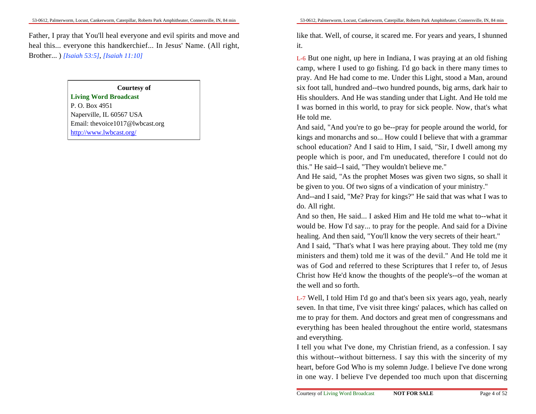Father, I pray that You'll heal everyone and evil spirits and move and heal this... everyone this handkerchief... In Jesus' Name. (All right,Brother... ) *[Isaiah 53:5]*, *[Isaiah 11:10]*

#### **Courtesy of**

**Living Word Broadcast**P. O. Box 4951 Naperville, IL 60567 USA Email: thevoice1017@lwbcast.orghttp://www.lwbcast.org/

like that. Well, of course, it scared me. For years and years, I shunnedit.

L-6 But one night, up here in Indiana, I was praying at an old fishing camp, where I used to go fishing. I'd go back in there many times to pray. And He had come to me. Under this Light, stood a Man, around six foot tall, hundred and--two hundred pounds, big arms, dark hair to His shoulders. And He was standing under that Light. And He told me I was borned in this world, to pray for sick people. Now, that's whatHe told me.

And said, "And you're to go be--pray for people around the world, forkings and monarchs and so... How could I believe that with a grammarschool education? And I said to Him, I said, "Sir, I dwell among my people which is poor, and I'm uneducated, therefore I could not dothis." He said--I said, "They wouldn't believe me."

 And He said, "As the prophet Moses was given two signs, so shall itbe given to you. Of two signs of a vindication of your ministry."

 And--and I said, "Me? Pray for kings?" He said that was what I was todo. All right.

And so then, He said... I asked Him and He told me what to--what itwould be. How I'd say... to pray for the people. And said for a Divinehealing. And then said, "You'll know the very secrets of their heart." And I said, "That's what I was here praying about. They told me (my ministers and them) told me it was of the devil." And He told me itwas of God and referred to these Scriptures that I refer to, of Jesus Christ how He'd know the thoughts of the people's--of the woman atthe well and so forth.

L-7 Well, I told Him I'd go and that's been six years ago, yeah, nearly seven. In that time, I've visit three kings' palaces, which has called on me to pray for them. And doctors and great men of congressmans and everything has been healed throughout the entire world, statesmansand everything.

I tell you what I've done, my Christian friend, as a confession. I say this without--without bitterness. I say this with the sincerity of my heart, before God Who is my solemn Judge. I believe I've done wrongin one way. I believe I've depended too much upon that discerning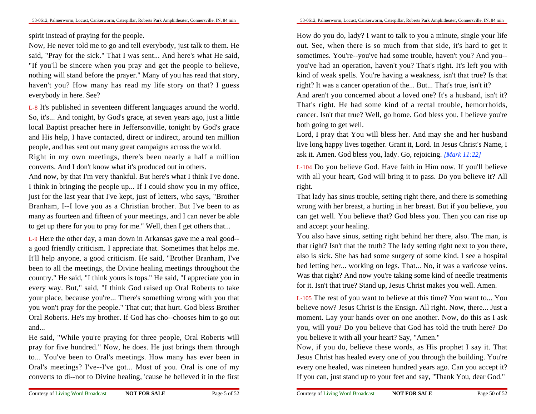spirit instead of praying for the people.

Now, He never told me to go and tell everybody, just talk to them. He said, "Pray for the sick." That I was sent... And here's what He said,"If you'll be sincere when you pray and get the people to believe,nothing will stand before the prayer." Many of you has read that story,haven't you? How many has read my life story on that? I guesseverybody in here. See?

L-8 It's published in seventeen different languages around the world.So, it's... And tonight, by God's grace, at seven years ago, just a little local Baptist preacher here in Jeffersonville, tonight by God's grace and His help, I have contacted, direct or indirect, around ten millionpeople, and has sent out many great campaigns across the world.

Right in my own meetings, there's been nearly a half a millionconverts. And I don't know what it's produced out in others.

And now, by that I'm very thankful. But here's what I think I've done.I think in bringing the people up... If I could show you in my office,just for the last year that I've kept, just of letters, who says, "BrotherBranham, I--I love you as a Christian brother. But I've been to as many as fourteen and fifteen of your meetings, and I can never be ableto get up there for you to pray for me." Well, then I get others that...

L-9 Here the other day, a man down in Arkansas gave me a real good-a good friendly criticism. I appreciate that. Sometimes that helps me.It'll help anyone, a good criticism. He said, "Brother Branham, I've been to all the meetings, the Divine healing meetings throughout the country." He said, "I think yours is tops." He said, "I appreciate you in every way. But," said, "I think God raised up Oral Roberts to take your place, because you're... There's something wrong with you thatyou won't pray for the people." That cut; that hurt. God bless BrotherOral Roberts. He's my brother. If God has cho--chooses him to go outand...

He said, "While you're praying for three people, Oral Roberts willpray for five hundred." Now, he does. He just brings them through to... You've been to Oral's meetings. How many has ever been in Oral's meetings? I've--I've got... Most of you. Oral is one of myconverts to di--not to Divine healing, 'cause he believed it in the first

How do you do, lady? I want to talk to you a minute, single your life out. See, when there is so much from that side, it's hard to get itsometimes. You're--you've had some trouble, haven't you? And you-you've had an operation, haven't you? That's right. It's left you with kind of weak spells. You're having a weakness, isn't that true? Is thatright? It was a cancer operation of the... But... That's true, isn't it?

 And aren't you concerned about a loved one? It's a husband, isn't it? That's right. He had some kind of a rectal trouble, hemorrhoids,cancer. Isn't that true? Well, go home. God bless you. I believe you'reboth going to get well.

Lord, I pray that You will bless her. And may she and her husband live long happy lives together. Grant it, Lord. In Jesus Christ's Name, Iask it. Amen. God bless you, lady. Go, rejoicing. *[Mark 11:22]*

L-104 Do you believe God. Have faith in Him now. If you'll believe with all your heart, God will bring it to pass. Do you believe it? Allright.

That lady has sinus trouble, setting right there, and there is something wrong with her breast, a hurting in her breast. But if you believe, you can get well. You believe that? God bless you. Then you can rise upand accept your healing.

You also have sinus, setting right behind her there, also. The man, is that right? Isn't that the truth? The lady setting right next to you there,also is sick. She has had some surgery of some kind. I see a hospitalbed letting her... working on legs. That... No, it was a varicose veins.Was that right? And now you're taking some kind of needle treatmentsfor it. Isn't that true? Stand up, Jesus Christ makes you well. Amen.

L-105 The rest of you want to believe at this time? You want to... You believe now? Jesus Christ is the Ensign. All right. Now, there... Just a moment. Lay your hands over on one another. Now, do this as I ask you, will you? Do you believe that God has told the truth here? Doyou believe it with all your heart? Say, "Amen."

 Now, if you do, believe these words, as His prophet I say it. ThatJesus Christ has healed every one of you through the building. You're every one healed, was nineteen hundred years ago. Can you accept it?If you can, just stand up to your feet and say, "Thank You, dear God."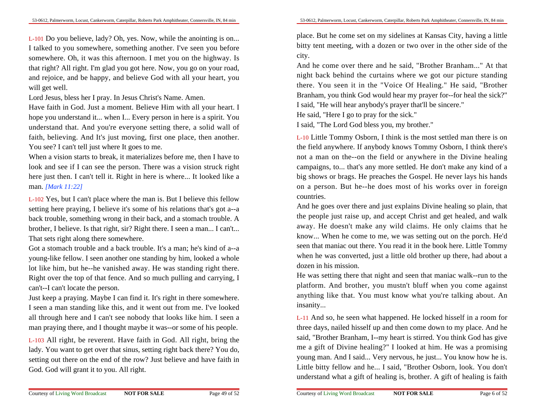L-101 Do you believe, lady? Oh, yes. Now, while the anointing is on...I talked to you somewhere, something another. I've seen you before somewhere. Oh, it was this afternoon. I met you on the highway. Is that right? All right. I'm glad you got here. Now, you go on your road,and rejoice, and be happy, and believe God with all your heart, youwill get well.

Lord Jesus, bless her I pray. In Jesus Christ's Name. Amen.

Have faith in God. Just a moment. Believe Him with all your heart. Ihope you understand it... when I... Every person in here is a spirit. You understand that. And you're everyone setting there, a solid wall offaith, believing. And It's just moving, first one place, then another.You see? I can't tell just where It goes to me.

When a vision starts to break, it materializes before me, then I have to look and see if I can see the person. There was a vision struck righthere just then. I can't tell it. Right in here is where... It looked like aman. *[Mark 11:22]*

L-102 Yes, but I can't place where the man is. But I believe this fellow setting here praying, I believe it's some of his relations that's got a--a back trouble, something wrong in their back, and a stomach trouble. A brother, I believe. Is that right, sir? Right there. I seen a man... I can't...That sets right along there somewhere.

Got a stomach trouble and a back trouble. It's a man; he's kind of a--a young-like fellow. I seen another one standing by him, looked a whole lot like him, but he--he vanished away. He was standing right there.Right over the top of that fence. And so much pulling and carrying, Ican't--I can't locate the person.

Just keep a praying. Maybe I can find it. It's right in there somewhere.I seen a man standing like this, and it went out from me. I've looked all through here and I can't see nobody that looks like him. I seen aman praying there, and I thought maybe it was--or some of his people.

L-103 All right, be reverent. Have faith in God. All right, bring the lady. You want to get over that sinus, setting right back there? You do,setting out there on the end of the row? Just believe and have faith inGod. God will grant it to you. All right.

place. But he come set on my sidelines at Kansas City, having a little bitty tent meeting, with a dozen or two over in the other side of thecity.

And he come over there and he said, "Brother Branham..." At thatnight back behind the curtains where we got our picture standing there. You seen it in the "Voice Of Healing." He said, "BrotherBranham, you think God would hear my prayer for--for heal the sick?"

I said, "He will hear anybody's prayer that'll be sincere."

He said, "Here I go to pray for the sick."

I said, "The Lord God bless you, my brother."

L-10 Little Tommy Osborn, I think is the most settled man there is on the field anywhere. If anybody knows Tommy Osborn, I think there's not a man on the--on the field or anywhere in the Divine healing campaigns, to... that's any more settled. He don't make any kind of a big shows or brags. He preaches the Gospel. He never lays his hands on a person. But he--he does most of his works over in foreigncountries.

And he goes over there and just explains Divine healing so plain, thatthe people just raise up, and accept Christ and get healed, and walk away. He doesn't make any wild claims. He only claims that he know... When he come to me, we was setting out on the porch. He'd seen that maniac out there. You read it in the book here. Little Tommy when he was converted, just a little old brother up there, had about adozen in his mission.

He was setting there that night and seen that maniac walk--run to the platform. And brother, you mustn't bluff when you come againstanything like that. You must know what you're talking about. Aninsanity...

L-11 And so, he seen what happened. He locked hisself in a room forthree days, nailed hisself up and then come down to my place. And he said, "Brother Branham, I--my heart is stirred. You think God has give me a gift of Divine healing?" I looked at him. He was a promising young man. And I said... Very nervous, he just... You know how he is.Little bitty fellow and he... I said, "Brother Osborn, look. You don'tunderstand what a gift of healing is, brother. A gift of healing is faith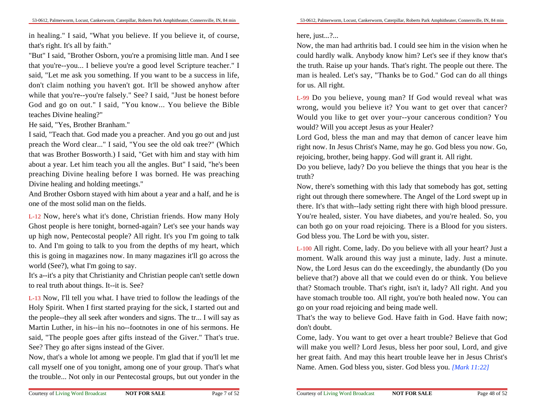53-0612, Palmerworm, Locust, Cankerworm, Caterpillar, Roberts Park Amphitheater, Connersville, IN, 84 min

in healing." I said, "What you believe. If you believe it, of course,that's right. It's all by faith."

 "But" I said, "Brother Osborn, you're a promising little man. And I see that you're--you... I believe you're a good level Scripture teacher." Isaid, "Let me ask you something. If you want to be a success in life,don't claim nothing you haven't got. It'll be showed anyhow afterwhile that you're--you're falsely." See? I said, "Just be honest before God and go on out." I said, "You know... You believe the Bibleteaches Divine healing?"

He said, "Yes, Brother Branham."

I said, "Teach that. God made you a preacher. And you go out and justpreach the Word clear..." I said, "You see the old oak tree?" (Which that was Brother Bosworth.) I said, "Get with him and stay with him about a year. Let him teach you all the angles. But" I said, "he's been preaching Divine healing before I was borned. He was preachingDivine healing and holding meetings."

 And Brother Osborn stayed with him about a year and a half, and he isone of the most solid man on the fields.

L-12 Now, here's what it's done, Christian friends. How many Holy Ghost people is here tonight, borned-again? Let's see your hands way up high now, Pentecostal people? All right. It's you I'm going to talk to. And I'm going to talk to you from the depths of my heart, which this is going in magazines now. In many magazines it'll go across theworld (See?), what I'm going to say.

It's a--it's a pity that Christianity and Christian people can't settle downto real truth about things. It--it is. See?

L-13 Now, I'll tell you what. I have tried to follow the leadings of theHoly Spirit. When I first started praying for the sick, I started out and the people--they all seek after wonders and signs. The tr... I will say asMartin Luther, in his--in his no--footnotes in one of his sermons. He said, "The people goes after gifts instead of the Giver." That's true.See? They go after signs instead of the Giver.

Now, that's a whole lot among we people. I'm glad that if you'll let me call myself one of you tonight, among one of your group. That's whatthe trouble... Not only in our Pentecostal groups, but out yonder in the

### here, just...?...

Now, the man had arthritis bad. I could see him in the vision when he could hardly walk. Anybody know him? Let's see if they know that'sthe truth. Raise up your hands. That's right. The people out there. The man is healed. Let's say, "Thanks be to God." God can do all thingsfor us. All right.

L-99 Do you believe, young man? If God would reveal what was wrong, would you believe it? You want to get over that cancer? Would you like to get over your--your cancerous condition? Youwould? Will you accept Jesus as your Healer?

 Lord God, bless the man and may that demon of cancer leave him right now. In Jesus Christ's Name, may he go. God bless you now. Go,rejoicing, brother, being happy. God will grant it. All right.

Do you believe, lady? Do you believe the things that you hear is thetruth?

 Now, there's something with this lady that somebody has got, setting right out through there somewhere. The Angel of the Lord swept up in there. It's that with--lady setting right there with high blood pressure.You're healed, sister. You have diabetes, and you're healed. So, you can both go on your road rejoicing. There is a Blood for you sisters.God bless you. The Lord be with you, sister.

L-100 All right. Come, lady. Do you believe with all your heart? Just a moment. Walk around this way just a minute, lady. Just a minute.Now, the Lord Jesus can do the exceedingly, the abundantly (Do you believe that?) above all that we could even do or think. You believe that? Stomach trouble. That's right, isn't it, lady? All right. And you have stomach trouble too. All right, you're both healed now. You cango on your road rejoicing and being made well.

That's the way to believe God. Have faith in God. Have faith now;don't doubt.

Come, lady. You want to get over a heart trouble? Believe that God will make you well? Lord Jesus, bless her poor soul, Lord, and give her great faith. And may this heart trouble leave her in Jesus Christ'sName. Amen. God bless you, sister. God bless you. *[Mark 11:22]*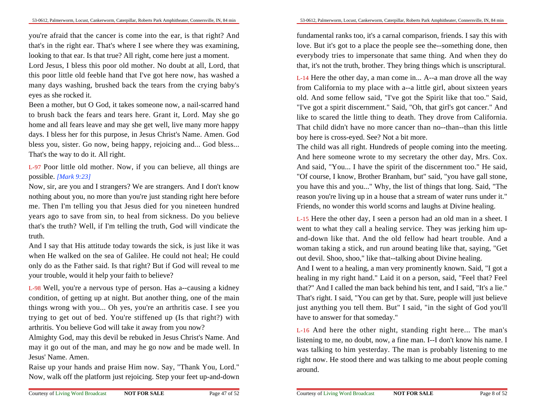you're afraid that the cancer is come into the ear, is that right? And that's in the right ear. That's where I see where they was examining,looking to that ear. Is that true? All right, come here just a moment.

Lord Jesus, I bless this poor old mother. No doubt at all, Lord, thatthis poor little old feeble hand that I've got here now, has washed a many days washing, brushed back the tears from the crying baby'seyes as she rocked it.

Been a mother, but O God, it takes someone now, a nail-scarred hand to brush back the fears and tears here. Grant it, Lord. May she go home and all fears leave and may she get well, live many more happy days. I bless her for this purpose, in Jesus Christ's Name. Amen. God bless you, sister. Go now, being happy, rejoicing and... God bless...That's the way to do it. All right.

L-97 Poor little old mother. Now, if you can believe, all things arepossible. *[Mark 9:23]*

Now, sir, are you and I strangers? We are strangers. And I don't know nothing about you, no more than you're just standing right here before me. Then I'm telling you that Jesus died for you nineteen hundred years ago to save from sin, to heal from sickness. Do you believe that's the truth? Well, if I'm telling the truth, God will vindicate thetruth.

And I say that His attitude today towards the sick, is just like it was when He walked on the sea of Galilee. He could not heal; He could only do as the Father said. Is that right? But if God will reveal to meyour trouble, would it help your faith to believe?

L-98 Well, you're a nervous type of person. Has a--causing a kidney condition, of getting up at night. But another thing, one of the main things wrong with you... Oh yes, you're an arthritis case. I see you trying to get out of bed. You're stiffened up (Is that right?) witharthritis. You believe God will take it away from you now?

 Almighty God, may this devil be rebuked in Jesus Christ's Name. And may it go out of the man, and may he go now and be made well. InJesus' Name. Amen.

Raise up your hands and praise Him now. Say, "Thank You, Lord."Now, walk off the platform just rejoicing. Step your feet up-and-down

fundamental ranks too, it's a carnal comparison, friends. I say this with love. But it's got to a place the people see the--something done, then everybody tries to impersonate that same thing. And when they dothat, it's not the truth, brother. They bring things which is unscriptural.

L-14 Here the other day, a man come in... A--a man drove all the way from California to my place with a--a little girl, about sixteen years old. And some fellow said, "I've got the Spirit like that too." Said, "I've got a spirit discernment." Said, "Oh, that girl's got cancer." And like to scared the little thing to death. They drove from California.That child didn't have no more cancer than no--than--than this littleboy here is cross-eyed. See? Not a bit more.

The child was all right. Hundreds of people coming into the meeting.And here someone wrote to my secretary the other day, Mrs. Cox.And said, "You... I have the spirit of the discernment too." He said,"Of course, I know, Brother Branham, but" said, "you have gall stone,you have this and you..." Why, the list of things that long. Said, "The reason you're living up in a house that a stream of water runs under it."Friends, no wonder this world scorns and laughs at Divine healing.

L-15 Here the other day, I seen a person had an old man in a sheet. Iwent to what they call a healing service. They was jerking him upand-down like that. And the old fellow had heart trouble. And a woman taking a stick, and run around beating like that, saying, "Getout devil. Shoo, shoo," like that--talking about Divine healing.

And I went to a healing, a man very prominently known. Said, "I got a healing in my right hand." Laid it on a person, said, "Feel that? Feelthat?" And I called the man back behind his tent, and I said, "It's a lie." That's right. I said, "You can get by that. Sure, people will just believe just anything you tell them. But" I said, "in the sight of God you'llhave to answer for that someday."

L-16 And here the other night, standing right here... The man's listening to me, no doubt, now, a fine man. I--I don't know his name. Iwas talking to him yesterday. The man is probably listening to me right now. He stood there and was talking to me about people comingaround.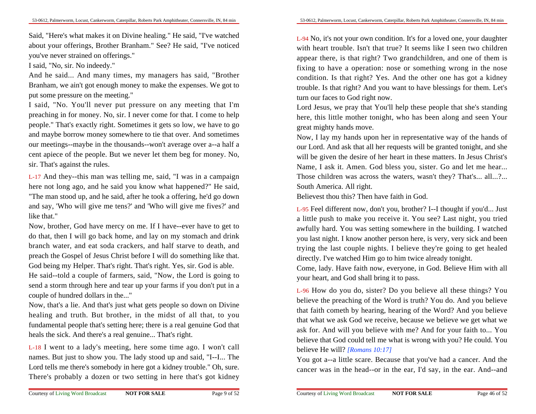Said, "Here's what makes it on Divine healing." He said, "I've watched about your offerings, Brother Branham." See? He said, "I've noticedyou've never strained on offerings."

I said, "No, sir. No indeedy."

 And he said... And many times, my managers has said, "BrotherBranham, we ain't got enough money to make the expenses. We got toput some pressure on the meeting."

 I said, "No. You'll never put pressure on any meeting that I'm preaching in for money. No, sir. I never come for that. I come to help people." That's exactly right. Sometimes it gets so low, we have to go and maybe borrow money somewhere to tie that over. And sometimes our meetings--maybe in the thousands--won't average over a--a half a cent apiece of the people. But we never let them beg for money. No,sir. That's against the rules.

L-17 And they--this man was telling me, said, "I was in a campaign here not long ago, and he said you know what happened?" He said,"The man stood up, and he said, after he took a offering, he'd go down and say, 'Who will give me tens?' and 'Who will give me fives?' andlike that."

 Now, brother, God have mercy on me. If I have--ever have to get to do that, then I will go back home, and lay on my stomach and drink branch water, and eat soda crackers, and half starve to death, and preach the Gospel of Jesus Christ before I will do something like that.God being my Helper. That's right. That's right. Yes, sir. God is able.He said--told a couple of farmers, said, "Now, the Lord is going to send a storm through here and tear up your farms if you don't put in acouple of hundred dollars in the..."

 Now, that's a lie. And that's just what gets people so down on Divine healing and truth. But brother, in the midst of all that, to you fundamental people that's setting here; there is a real genuine God thatheals the sick. And there's a real genuine... That's right.

L-18 I went to a lady's meeting, here some time ago. I won't callnames. But just to show you. The lady stood up and said, "I--I... The Lord tells me there's somebody in here got a kidney trouble." Oh, sure.There's probably a dozen or two setting in here that's got kidney

L-94 No, it's not your own condition. It's for a loved one, your daughterwith heart trouble. Isn't that true? It seems like I seen two children appear there, is that right? Two grandchildren, and one of them is fixing to have a operation: nose or something wrong in the nose condition. Is that right? Yes. And the other one has got a kidney trouble. Is that right? And you want to have blessings for them. Let'sturn our faces to God right now.

Lord Jesus, we pray that You'll help these people that she's standing here, this little mother tonight, who has been along and seen Yourgreat mighty hands move.

Now, I lay my hands upon her in representative way of the hands of our Lord. And ask that all her requests will be granted tonight, and she will be given the desire of her heart in these matters. In Jesus Christ's Name, I ask it. Amen. God bless you, sister. Go and let me hear...Those children was across the waters, wasn't they? That's... all...?... South America. All right.

Believest thou this? Then have faith in God.

L-95 Feel different now, don't you, brother? I--I thought if you'd... Justa little push to make you receive it. You see? Last night, you tried awfully hard. You was setting somewhere in the building. I watched you last night. I know another person here, is very, very sick and been trying the last couple nights. I believe they're going to get healeddirectly. I've watched Him go to him twice already tonight.

Come, lady. Have faith now, everyone, in God. Believe Him with allyour heart, and God shall bring it to pass.

L-96 How do you do, sister? Do you believe all these things? You believe the preaching of the Word is truth? You do. And you believe that faith cometh by hearing, hearing of the Word? And you believe that what we ask God we receive, because we believe we get what we ask for. And will you believe with me? And for your faith to... You believe that God could tell me what is wrong with you? He could. Youbelieve He will? *[Romans 10:17]*

 You got a--a little scare. Because that you've had a cancer. And thecancer was in the head--or in the ear, I'd say, in the ear. And--and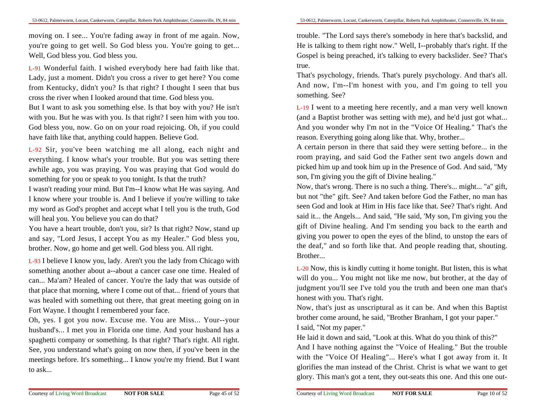moving on. I see... You're fading away in front of me again. Now,you're going to get well. So God bless you. You're going to get...Well, God bless you. God bless you.

L-91 Wonderful faith. I wished everybody here had faith like that.Lady, just a moment. Didn't you cross a river to get here? You come from Kentucky, didn't you? Is that right? I thought I seen that buscross the river when I looked around that time. God bless you.

But I want to ask you something else. Is that boy with you? He isn'twith you. But he was with you. Is that right? I seen him with you too.God bless you, now. Go on on your road rejoicing. Oh, if you couldhave faith like that, anything could happen. Believe God.

L-92 Sir, you've been watching me all along, each night and everything. I know what's your trouble. But you was setting there awhile ago, you was praying. You was praying that God would dosomething for you or speak to you tonight. Is that the truth?

 I wasn't reading your mind. But I'm--I know what He was saying. And I know where your trouble is. And I believe if you're willing to take my word as God's prophet and accept what I tell you is the truth, Godwill heal you. You believe you can do that?

 You have a heart trouble, don't you, sir? Is that right? Now, stand up and say, "Lord Jesus, I accept You as my Healer." God bless you,brother. Now, go home and get well. God bless you. All right.

L-93 I believe I know you, lady. Aren't you the lady from Chicago with something another about a--about a cancer case one time. Healed ofcan... Ma'am? Healed of cancer. You're the lady that was outside ofthat place that morning, where I come out of that... friend of yours thatwas healed with something out there, that great meeting going on inFort Wayne. I thought I remembered your face.

Oh, yes. I got you now. Excuse me. You are Miss... Your--yourhusband's... I met you in Florida one time. And your husband has a spaghetti company or something. Is that right? That's right. All right.See, you understand what's going on now then, if you've been in the meetings before. It's something... I know you're my friend. But I wantto ask...

trouble. "The Lord says there's somebody in here that's backslid, and He is talking to them right now." Well, I--probably that's right. If the Gospel is being preached, it's talking to every backslider. See? That'strue.

That's psychology, friends. That's purely psychology. And that's all.And now, I'm--I'm honest with you, and I'm going to tell yousomething. See?

L-19 I went to a meeting here recently, and a man very well known (and a Baptist brother was setting with me), and he'd just got what...And you wonder why I'm not in the "Voice Of Healing." That's thereason. Everything going along like that. Why, brother...

A certain person in there that said they were setting before... in the room praying, and said God the Father sent two angels down and picked him up and took him up in the Presence of God. And said, "Myson, I'm giving you the gift of Divine healing."

 Now, that's wrong. There is no such a thing. There's... might... "a" gift,but not "the" gift. See? And taken before God the Father, no man has seen God and look at Him in His face like that. See? That's right. And said it... the Angels... And said, "He said, 'My son, I'm giving you the gift of Divine healing. And I'm sending you back to the earth and giving you power to open the eyes of the blind, to unstop the ears ofthe deaf," and so forth like that. And people reading that, shouting.Brother...

L-20 Now, this is kindly cutting it home tonight. But listen, this is whatwill do you... You might not like me now, but brother, at the day of judgment you'll see I've told you the truth and been one man that'shonest with you. That's right.

Now, that's just as unscriptural as it can be. And when this Baptistbrother come around, he said, "Brother Branham, I got your paper."I said, "Not my paper."

He laid it down and said, "Look at this. What do you think of this?"

 And I have nothing against the "Voice of Healing." But the trouble with the "Voice Of Healing"... Here's what I got away from it. Itglorifies the man instead of the Christ. Christ is what we want to getglory. This man's got a tent, they out-seats this one. And this one out-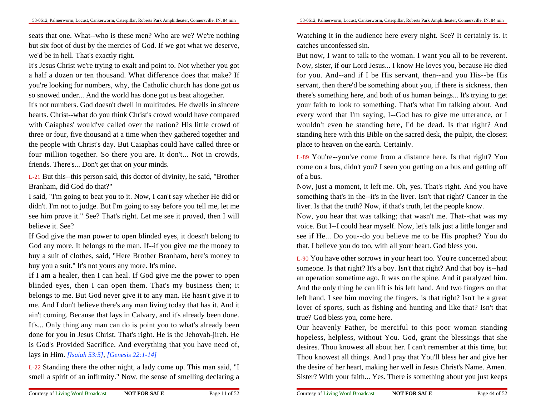seats that one. What--who is these men? Who are we? We're nothing but six foot of dust by the mercies of God. If we got what we deserve,we'd be in hell. That's exactly right.

It's Jesus Christ we're trying to exalt and point to. Not whether you gota half a dozen or ten thousand. What difference does that make? Ifyou're looking for numbers, why, the Catholic church has done got usso snowed under... And the world has done got us beat altogether.

It's not numbers. God doesn't dwell in multitudes. He dwells in sincere hearts. Christ--what do you think Christ's crowd would have compared with Caiaphas' would've called over the nation? His little crowd ofthree or four, five thousand at a time when they gathered together and the people with Christ's day. But Caiaphas could have called three orfour million together. So there you are. It don't... Not in crowds,friends. There's... Don't get that on your minds.

L-21 But this--this person said, this doctor of divinity, he said, "BrotherBranham, did God do that?"

 I said, "I'm going to beat you to it. Now, I can't say whether He did ordidn't. I'm not to judge. But I'm going to say before you tell me, let me see him prove it." See? That's right. Let me see it proved, then I willbelieve it. See?

 If God give the man power to open blinded eyes, it doesn't belong to God any more. It belongs to the man. If--if you give me the money to buy a suit of clothes, said, "Here Brother Branham, here's money tobuy you a suit." It's not yours any more. It's mine.

If I am a healer, then I can heal. If God give me the power to open blinded eyes, then I can open them. That's my business then; itbelongs to me. But God never give it to any man. He hasn't give it to me. And I don't believe there's any man living today that has it. And itain't coming. Because that lays in Calvary, and it's already been done.It's... Only thing any man can do is point you to what's already been done for you in Jesus Christ. That's right. He is the Jehovah-jireh. He is God's Provided Sacrifice. And everything that you have need of,lays in Him. *[Isaiah 53:5]*, *[Genesis 22:1-14]*

L-22 Standing there the other night, a lady come up. This man said, "Ismell a spirit of an infirmity." Now, the sense of smelling declaring a

Watching it in the audience here every night. See? It certainly is. Itcatches unconfessed sin.

But now, I want to talk to the woman. I want you all to be reverent.Now, sister, if our Lord Jesus... I know He loves you, because He died for you. And--and if I be His servant, then--and you His--be His servant, then there'd be something about you, if there is sickness, then there's something here, and both of us human beings... It's trying to getyour faith to look to something. That's what I'm talking about. And every word that I'm saying, I--God has to give me utterance, or Iwouldn't even be standing here, I'd be dead. Is that right? And standing here with this Bible on the sacred desk, the pulpit, the closestplace to heaven on the earth. Certainly.

L-89 You're--you've come from a distance here. Is that right? You come on a bus, didn't you? I seen you getting on a bus and getting offof a bus.

Now, just a moment, it left me. Oh, yes. That's right. And you have something that's in the--it's in the liver. Isn't that right? Cancer in theliver. Is that the truth? Now, if that's truth, let the people know.

Now, you hear that was talking; that wasn't me. That--that was my voice. But I--I could hear myself. Now, let's talk just a little longer and see if He... Do you--do you believe me to be His prophet? You dothat. I believe you do too, with all your heart. God bless you.

L-90 You have other sorrows in your heart too. You're concerned aboutsomeone. Is that right? It's a boy. Isn't that right? And that boy is--had an operation sometime ago. It was on the spine. And it paralyzed him.And the only thing he can lift is his left hand. And two fingers on thatleft hand. I see him moving the fingers, is that right? Isn't he a greatlover of sports, such as fishing and hunting and like that? Isn't thattrue? God bless you, come here.

Our heavenly Father, be merciful to this poor woman standing hopeless, helpless, without You. God, grant the blessings that she desires. Thou knowest all about her. I can't remember at this time, butThou knowest all things. And I pray that You'll bless her and give herthe desire of her heart, making her well in Jesus Christ's Name. Amen.Sister? With your faith... Yes. There is something about you just keeps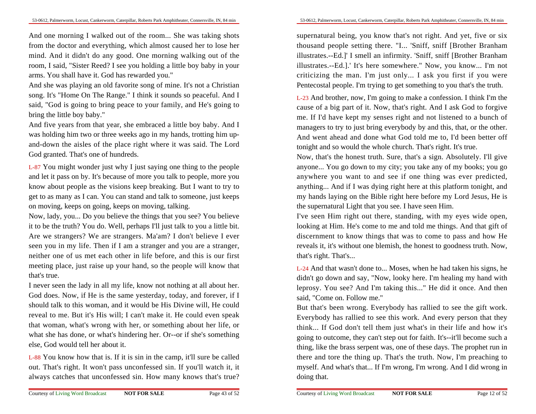And one morning I walked out of the room... She was taking shots from the doctor and everything, which almost caused her to lose her mind. And it didn't do any good. One morning walking out of the room, I said, "Sister Reed? I see you holding a little boy baby in yourarms. You shall have it. God has rewarded you."

 And she was playing an old favorite song of mine. It's not a Christian song. It's "Home On The Range." I think it sounds so peaceful. And Isaid, "God is going to bring peace to your family, and He's going tobring the little boy baby."

And five years from that year, she embraced a little boy baby. And Iwas holding him two or three weeks ago in my hands, trotting him upand-down the aisles of the place right where it was said. The LordGod granted. That's one of hundreds.

L-87 You might wonder just why I just saying one thing to the people and let it pass on by. It's because of more you talk to people, more you know about people as the visions keep breaking. But I want to try to get to as many as I can. You can stand and talk to someone, just keepson moving, keeps on going, keeps on moving, talking.

Now, lady, you... Do you believe the things that you see? You believe it to be the truth? You do. Well, perhaps I'll just talk to you a little bit.Are we strangers? We are strangers. Ma'am? I don't believe I everseen you in my life. Then if I am a stranger and you are a stranger,neither one of us met each other in life before, and this is our firstmeeting place, just raise up your hand, so the people will know thatthat's true.

I never seen the lady in all my life, know not nothing at all about her.God does. Now, if He is the same yesterday, today, and forever, if Ishould talk to this woman, and it would be His Divine will, He could reveal to me. But it's His will; I can't make it. He could even speak that woman, what's wrong with her, or something about her life, orwhat she has done, or what's hindering her. Or--or if she's somethingelse, God would tell her about it.

L-88 You know how that is. If it is sin in the camp, it'll sure be called out. That's right. It won't pass unconfessed sin. If you'll watch it, italways catches that unconfessed sin. How many knows that's true?

supernatural being, you know that's not right. And yet, five or six thousand people setting there. "I... 'Sniff, sniff [Brother Branham illustrates.--Ed.]' I smell an infirmity. 'Sniff, sniff [Brother Branham illustrates.--Ed.].' It's here somewhere." Now, you know... I'm notcriticizing the man. I'm just only... I ask you first if you werePentecostal people. I'm trying to get something to you that's the truth.

L-23 And brother, now, I'm going to make a confession. I think I'm the cause of a big part of it. Now, that's right. And I ask God to forgive me. If I'd have kept my senses right and not listened to a bunch ofmanagers to try to just bring everybody by and this, that, or the other.And went ahead and done what God told me to, I'd been better offtonight and so would the whole church. That's right. It's true.

Now, that's the honest truth. Sure, that's a sign. Absolutely. I'll give anyone... You go down to my city; you take any of my books; you go anywhere you want to and see if one thing was ever predicted,anything... And if I was dying right here at this platform tonight, and my hands laying on the Bible right here before my Lord Jesus, He isthe supernatural Light that you see. I have seen Him.

I've seen Him right out there, standing, with my eyes wide open,looking at Him. He's come to me and told me things. And that gift ofdiscernment to know things that was to come to pass and how He reveals it, it's without one blemish, the honest to goodness truth. Now,that's right. That's...

L-24 And that wasn't done to... Moses, when he had taken his signs, he didn't go down and say, "Now, looky here. I'm healing my hand with leprosy. You see? And I'm taking this..." He did it once. And thensaid, "Come on. Follow me."

 But that's been wrong. Everybody has rallied to see the gift work.Everybody has rallied to see this work. And every person that they think... If God don't tell them just what's in their life and how it's going to outcome, they can't step out for faith. It's--it'll become such a thing, like the brass serpent was, one of these days. The prophet run in there and tore the thing up. That's the truth. Now, I'm preaching to myself. And what's that... If I'm wrong, I'm wrong. And I did wrong indoing that.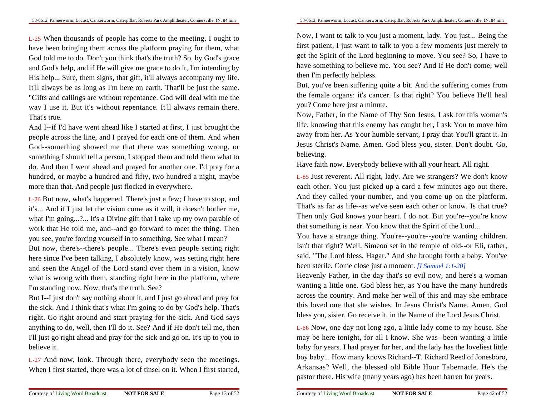L-25 When thousands of people has come to the meeting, I ought to have been bringing them across the platform praying for them, what God told me to do. Don't you think that's the truth? So, by God's grace and God's help, and if He will give me grace to do it, I'm intending by His help... Sure, them signs, that gift, it'll always accompany my life.It'll always be as long as I'm here on earth. That'll be just the same."Gifts and callings are without repentance. God will deal with me the way I use it. But it's without repentance. It'll always remain there.That's true.

And I--if I'd have went ahead like I started at first, I just brought the people across the line, and I prayed for each one of them. And when God--something showed me that there was something wrong, orsomething I should tell a person, I stopped them and told them what to do. And then I went ahead and prayed for another one. I'd pray for a hundred, or maybe a hundred and fifty, two hundred a night, maybemore than that. And people just flocked in everywhere.

L-26 But now, what's happened. There's just a few; I have to stop, and it's... And if I just let the vision come as it will, it doesn't bother me,what I'm going...?... It's a Divine gift that I take up my own parable of work that He told me, and--and go forward to meet the thing. Thenyou see, you're forcing yourself in to something. See what I mean? But now, there's--there's people... There's even people setting righthere since I've been talking, I absolutely know, was setting right here and seen the Angel of the Lord stand over them in a vision, know what is wrong with them, standing right here in the platform, whereI'm standing now. Now, that's the truth. See?

 But I--I just don't say nothing about it, and I just go ahead and pray for the sick. And I think that's what I'm going to do by God's help. That's right. Go right around and start praying for the sick. And God saysanything to do, well, then I'll do it. See? And if He don't tell me, then I'll just go right ahead and pray for the sick and go on. It's up to you tobelieve it.

L-27 And now, look. Through there, everybody seen the meetings.When I first started, there was a lot of tinsel on it. When I first started,

Now, I want to talk to you just a moment, lady. You just... Being the first patient, I just want to talk to you a few moments just merely to get the Spirit of the Lord beginning to move. You see? So, I have to have something to believe me. You see? And if He don't come, wellthen I'm perfectly helpless.

But, you've been suffering quite a bit. And the suffering comes from the female organs: it's cancer. Is that right? You believe He'll healyou? Come here just a minute.

Now, Father, in the Name of Thy Son Jesus, I ask for this woman's life, knowing that this enemy has caught her, I ask You to move him away from her. As Your humble servant, I pray that You'll grant it. In Jesus Christ's Name. Amen. God bless you, sister. Don't doubt. Go,believing.

Have faith now. Everybody believe with all your heart. All right.

L-85 Just reverent. All right, lady. Are we strangers? We don't know each other. You just picked up a card a few minutes ago out there.And they called your number, and you come up on the platform.That's as far as life--as we've seen each other or know. Is that true? Then only God knows your heart. I do not. But you're--you're knowthat something is near. You know that the Spirit of the Lord...

You have a strange thing. You're--you're--you're wanting children.Isn't that right? Well, Simeon set in the temple of old--or Eli, rather,said, "The Lord bless, Hagar." And she brought forth a baby. You'vebeen sterile. Come close just a moment. *[I Samuel 1:1-20]*

 Heavenly Father, in the day that's so evil now, and here's a woman wanting a little one. God bless her, as You have the many hundreds across the country. And make her well of this and may she embracethis loved one that she wishes. In Jesus Christ's Name. Amen. Godbless you, sister. Go receive it, in the Name of the Lord Jesus Christ.

L-86 Now, one day not long ago, a little lady come to my house. She may be here tonight, for all I know. She was--been wanting a little baby for years. I had prayer for her, and the lady has the loveliest little boy baby... How many knows Richard--T. Richard Reed of Jonesboro,Arkansas? Well, the blessed old Bible Hour Tabernacle. He's thepastor there. His wife (many years ago) has been barren for years.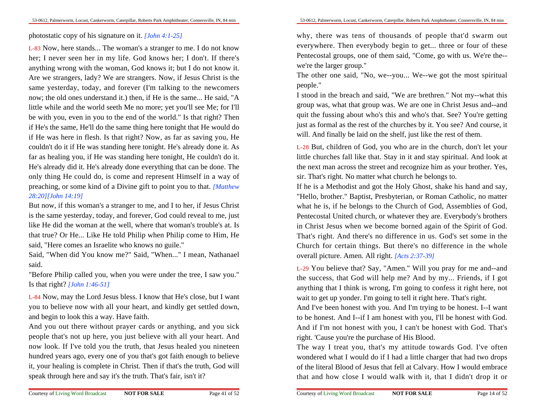photostatic copy of his signature on it. *[John 4:1-25]*

L-83 Now, here stands... The woman's a stranger to me. I do not know her; I never seen her in my life. God knows her; I don't. If there's anything wrong with the woman, God knows it; but I do not know it.Are we strangers, lady? We are strangers. Now, if Jesus Christ is the same yesterday, today, and forever (I'm talking to the newcomers now; the old ones understand it.) then, if He is the same... He said, "A little while and the world seeth Me no more; yet you'll see Me; for I'llbe with you, even in you to the end of the world." Is that right? Then if He's the same, He'll do the same thing here tonight that He would do if He was here in flesh. Is that right? Now, as far as saving you, He couldn't do it if He was standing here tonight. He's already done it. As far as healing you, if He was standing here tonight, He couldn't do it.He's already did it. He's already done everything that can be done. The only thing He could do, is come and represent Himself in a way ofpreaching, or some kind of a Divine gift to point you to that. *[Matthew28:20][John 14:19]*

But now, if this woman's a stranger to me, and I to her, if Jesus Christis the same yesterday, today, and forever, God could reveal to me, justlike He did the woman at the well, where that woman's trouble's at. Isthat true? Or He... Like He told Philip when Philip come to Him, Hesaid, "Here comes an Israelite who knows no guile."

 Said, "When did You know me?" Said, "When..." I mean, Nathanaelsaid.

"Before Philip called you, when you were under the tree, I saw you."Is that right? *[John 1:46-51]*

L-84 Now, may the Lord Jesus bless. I know that He's close, but I wantyou to believe now with all your heart, and kindly get settled down,and begin to look this a way. Have faith.

And you out there without prayer cards or anything, and you sick people that's not up here, you just believe with all your heart. And now look. If I've told you the truth, that Jesus healed you nineteen hundred years ago, every one of you that's got faith enough to believe it, your healing is complete in Christ. Then if that's the truth, God willspeak through here and say it's the truth. That's fair, isn't it?

why, there was tens of thousands of people that'd swarm outeverywhere. Then everybody begin to get... three or four of these Pentecostal groups, one of them said, "Come, go with us. We're the-we're the larger group."

 The other one said, "No, we--you... We--we got the most spiritualpeople."

 I stood in the breach and said, "We are brethren." Not my--what this group was, what that group was. We are one in Christ Jesus and--and quit the fussing about who's this and who's that. See? You're getting just as formal as the rest of the churches by it. You see? And course, itwill. And finally be laid on the shelf, just like the rest of them.

L-28 But, children of God, you who are in the church, don't let yourlittle churches fall like that. Stay in it and stay spiritual. And look atthe next man across the street and recognize him as your brother. Yes,sir. That's right. No matter what church he belongs to.

If he is a Methodist and got the Holy Ghost, shake his hand and say,"Hello, brother." Baptist, Presbyterian, or Roman Catholic, no matterwhat he is, if he belongs to the Church of God, Assemblies of God,Pentecostal United church, or whatever they are. Everybody's brothers in Christ Jesus when we become borned again of the Spirit of God.That's right. And there's no difference in us. God's set some in the Church for certain things. But there's no difference in the wholeoverall picture. Amen. All right. *[Acts 2:37-39]*

L-29 You believe that? Say, "Amen." Will you pray for me and--and the success, that God will help me? And by my... Friends, if I gotanything that I think is wrong, I'm going to confess it right here, notwait to get up yonder. I'm going to tell it right here. That's right.

And I've been honest with you. And I'm trying to be honest. I--I wantto be honest. And I--if I am honest with you, I'll be honest with God.And if I'm not honest with you, I can't be honest with God. That'sright. 'Cause you're the purchase of His Blood.

The way I treat you, that's my attitude towards God. I've often wondered what I would do if I had a little charger that had two drops of the literal Blood of Jesus that fell at Calvary. How I would embracethat and how close I would walk with it, that I didn't drop it or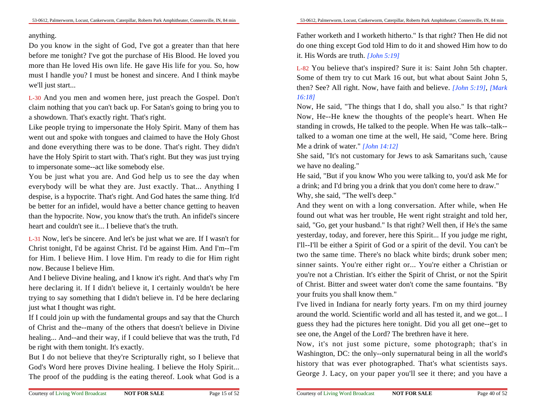#### anything.

Do you know in the sight of God, I've got a greater than that here before me tonight? I've got the purchase of His Blood. He loved you more than He loved His own life. He gave His life for you. So, how must I handle you? I must be honest and sincere. And I think maybewe'll just start...

L-30 And you men and women here, just preach the Gospel. Don'tclaim nothing that you can't back up. For Satan's going to bring you toa showdown. That's exactly right. That's right.

Like people trying to impersonate the Holy Spirit. Many of them has went out and spoke with tongues and claimed to have the Holy Ghostand done everything there was to be done. That's right. They didn'thave the Holy Spirit to start with. That's right. But they was just tryingto impersonate some--act like somebody else.

You be just what you are. And God help us to see the day when everybody will be what they are. Just exactly. That... Anything Idespise, is a hypocrite. That's right. And God hates the same thing. It'd be better for an infidel, would have a better chance getting to heaven than the hypocrite. Now, you know that's the truth. An infidel's sincereheart and couldn't see it... I believe that's the truth.

L-31 Now, let's be sincere. And let's be just what we are. If I wasn't forChrist tonight, I'd be against Christ. I'd be against Him. And I'm--I'm for Him. I believe Him. I love Him. I'm ready to die for Him rightnow. Because I believe Him.

And I believe Divine healing, and I know it's right. And that's why I'm here declaring it. If I didn't believe it, I certainly wouldn't be here trying to say something that I didn't believe in. I'd be here declaringjust what I thought was right.

If I could join up with the fundamental groups and say that the Church of Christ and the--many of the others that doesn't believe in Divine healing... And--and their way, if I could believe that was the truth, I'dbe right with them tonight. It's exactly.

But I do not believe that they're Scripturally right, so I believe thatGod's Word here proves Divine healing. I believe the Holy Spirit...The proof of the pudding is the eating thereof. Look what God is a

Father worketh and I worketh hitherto." Is that right? Then He did notdo one thing except God told Him to do it and showed Him how to doit. His Words are truth. *[John 5:19]*

L-82 You believe that's inspired? Sure it is: Saint John 5th chapter.Some of them try to cut Mark 16 out, but what about Saint John 5,then? See? All right. Now, have faith and believe. *[John 5:19]*, *[Mark16:18]*

Now, He said, "The things that I do, shall you also." Is that right? Now, He--He knew the thoughts of the people's heart. When He standing in crowds, He talked to the people. When He was talk--talk-talked to a woman one time at the well, He said, "Come here. BringMe a drink of water." *[John 14:12]*

She said, "It's not customary for Jews to ask Samaritans such, 'causewe have no dealing."

 He said, "But if you know Who you were talking to, you'd ask Me fora drink; and I'd bring you a drink that you don't come here to draw."Why, she said, "The well's deep."

And they went on with a long conversation. After while, when He found out what was her trouble, He went right straight and told her,said, "Go, get your husband." Is that right? Well then, if He's the same yesterday, today, and forever, here this Spirit... If you judge me right,I'll--I'll be either a Spirit of God or a spirit of the devil. You can't be two the same time. There's no black white birds; drunk sober men;sinner saints. You're either right or... You're either a Christian or you're not a Christian. It's either the Spirit of Christ, or not the Spiritof Christ. Bitter and sweet water don't come the same fountains. "Byyour fruits you shall know them."

 I've lived in Indiana for nearly forty years. I'm on my third journey around the world. Scientific world and all has tested it, and we got... Iguess they had the pictures here tonight. Did you all get one--get tosee one, the Angel of the Lord? The brethren have it here.

Now, it's not just some picture, some photograph; that's in Washington, DC: the only--only supernatural being in all the world's history that was ever photographed. That's what scientists says.George J. Lacy, on your paper you'll see it there; and you have a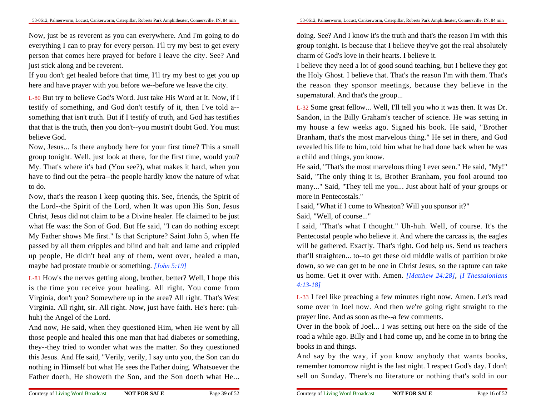Now, just be as reverent as you can everywhere. And I'm going to do everything I can to pray for every person. I'll try my best to get every person that comes here prayed for before I leave the city. See? Andjust stick along and be reverent.

If you don't get healed before that time, I'll try my best to get you uphere and have prayer with you before we--before we leave the city.

L-80 But try to believe God's Word. Just take His Word at it. Now, if Itestify of something, and God don't testify of it, then I've told a-something that isn't truth. But if I testify of truth, and God has testifies that that is the truth, then you don't--you mustn't doubt God. You mustbelieve God.

Now, Jesus... Is there anybody here for your first time? This a smallgroup tonight. Well, just look at there, for the first time, would you? My. That's where it's bad (You see?), what makes it hard, when you have to find out the petra--the people hardly know the nature of whatto do.

Now, that's the reason I keep quoting this. See, friends, the Spirit ofthe Lord--the Spirit of the Lord, when It was upon His Son, Jesus Christ, Jesus did not claim to be a Divine healer. He claimed to be justwhat He was: the Son of God. But He said, "I can do nothing exceptMy Father shows Me first." Is that Scripture? Saint John 5, when He passed by all them cripples and blind and halt and lame and crippled up people, He didn't heal any of them, went over, healed a man,maybe had prostate trouble or something. *[John 5:19]*

L-81 How's the nerves getting along, brother, better? Well, I hope this is the time you receive your healing. All right. You come from Virginia, don't you? Somewhere up in the area? All right. That's WestVirginia. All right, sir. All right. Now, just have faith. He's here: (uhhuh) the Angel of the Lord.

And now, He said, when they questioned Him, when He went by allthose people and healed this one man that had diabetes or something,they--they tried to wonder what was the matter. So they questioned this Jesus. And He said, "Verily, verily, I say unto you, the Son can do nothing in Himself but what He sees the Father doing. Whatsoever theFather doeth, He showeth the Son, and the Son doeth what He...

doing. See? And I know it's the truth and that's the reason I'm with this group tonight. Is because that I believe they've got the real absolutelycharm of God's love in their hearts. I believe it.

I believe they need a lot of good sound teaching, but I believe they gotthe Holy Ghost. I believe that. That's the reason I'm with them. That's the reason they sponsor meetings, because they believe in thesupernatural. And that's the group...

L-32 Some great fellow... Well, I'll tell you who it was then. It was Dr.Sandon, in the Billy Graham's teacher of science. He was setting in my house a few weeks ago. Signed his book. He said, "BrotherBranham, that's the most marvelous thing." He set in there, and God revealed his life to him, told him what he had done back when he wasa child and things, you know.

He said, "That's the most marvelous thing I ever seen." He said, "My!" Said, "The only thing it is, Brother Branham, you fool around too many..." Said, "They tell me you... Just about half of your groups ormore in Pentecostals."

I said, "What if I come to Wheaton? Will you sponsor it?"

Said, "Well, of course..."

 I said, "That's what I thought." Uh-huh. Well, of course. It's the Pentecostal people who believe it. And where the carcass is, the eagles will be gathered. Exactly. That's right. God help us. Send us teachers that'll straighten... to--to get these old middle walls of partition broke down, so we can get to be one in Christ Jesus, so the rapture can take us home. Get it over with. Amen. *[Matthew 24:28]*, *[I Thessalonians4:13-18]*

L-33 I feel like preaching a few minutes right now. Amen. Let's read some over in Joel now. And then we're going right straight to theprayer line. And as soon as the--a few comments.

Over in the book of Joel... I was setting out here on the side of the road a while ago. Billy and I had come up, and he come in to bring thebooks in and things.

And say by the way, if you know anybody that wants books,remember tomorrow night is the last night. I respect God's day. I don'tsell on Sunday. There's no literature or nothing that's sold in our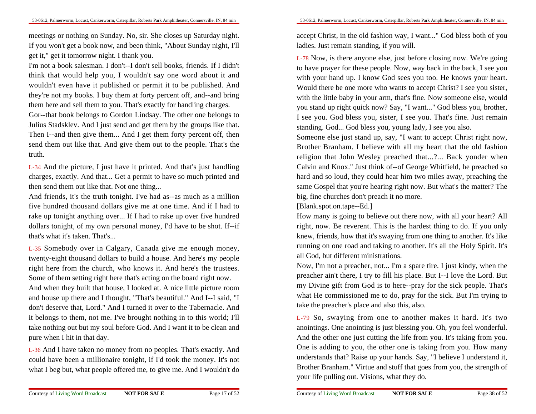meetings or nothing on Sunday. No, sir. She closes up Saturday night.If you won't get a book now, and been think, "About Sunday night, I'llget it," get it tomorrow night. I thank you.

I'm not a book salesman. I don't--I don't sell books, friends. If I didn'tthink that would help you, I wouldn't say one word about it and wouldn't even have it published or permit it to be published. And they're not my books. I buy them at forty percent off, and--and bringthem here and sell them to you. That's exactly for handling charges.

Gor--that book belongs to Gordon Lindsay. The other one belongs to Julius Stadsklev. And I just send and get them by the groups like that.Then I--and then give them... And I get them forty percent off, then send them out like that. And give them out to the people. That's thetruth.

L-34 And the picture, I just have it printed. And that's just handling charges, exactly. And that... Get a permit to have so much printed andthen send them out like that. Not one thing...

And friends, it's the truth tonight. I've had as--as much as a million five hundred thousand dollars give me at one time. And if I had to rake up tonight anything over... If I had to rake up over five hundred dollars tonight, of my own personal money, I'd have to be shot. If--ifthat's what it's taken. That's...

L-35 Somebody over in Calgary, Canada give me enough money,twenty-eight thousand dollars to build a house. And here's my people right here from the church, who knows it. And here's the trustees.Some of them setting right here that's acting on the board right now.

And when they built that house, I looked at. A nice little picture room and house up there and I thought, "That's beautiful." And I--I said, "Idon't deserve that, Lord." And I turned it over to the Tabernacle. And it belongs to them, not me. I've brought nothing in to this world; I'lltake nothing out but my soul before God. And I want it to be clean andpure when I hit in that day.

L-36 And I have taken no money from no peoples. That's exactly. And could have been a millionaire tonight, if I'd took the money. It's notwhat I beg but, what people offered me, to give me. And I wouldn't do

accept Christ, in the old fashion way, I want..." God bless both of youladies. Just remain standing, if you will.

L-78 Now, is there anyone else, just before closing now. We're going to have prayer for these people. Now, way back in the back, I see you with your hand up. I know God sees you too. He knows your heart.Would there be one more who wants to accept Christ? I see you sister,with the little baby in your arm, that's fine. Now someone else, would you stand up right quick now? Say, "I want..." God bless you, brother,I see you. God bless you, sister, I see you. That's fine. Just remainstanding. God... God bless you, young lady, I see you also.

Someone else just stand up, say, "I want to accept Christ right now,Brother Branham. I believe with all my heart that the old fashion religion that John Wesley preached that...?... Back yonder when Calvin and Knox." Just think of--of George Whitfield, he preached so hard and so loud, they could hear him two miles away, preaching the same Gospel that you're hearing right now. But what's the matter? Thebig, fine churches don't preach it no more.

[Blank.spot.on.tape--Ed.]

How many is going to believe out there now, with all your heart? Allright, now. Be reverent. This is the hardest thing to do. If you only knew, friends, how that it's swaying from one thing to another. It's like running on one road and taking to another. It's all the Holy Spirit. It'sall God, but different ministrations.

Now, I'm not a preacher, not... I'm a spare tire. I just kindy, when the preacher ain't there, I try to fill his place. But I--I love the Lord. Butmy Divine gift from God is to here--pray for the sick people. That's what He commissioned me to do, pray for the sick. But I'm trying totake the preacher's place and also this, also.

L-79 So, swaying from one to another makes it hard. It's two anointings. One anointing is just blessing you. Oh, you feel wonderful.And the other one just cutting the life from you. It's taking from you.One is adding to you, the other one is taking from you. How many understands that? Raise up your hands. Say, "I believe I understand it,Brother Branham." Virtue and stuff that goes from you, the strength ofyour life pulling out. Visions, what they do.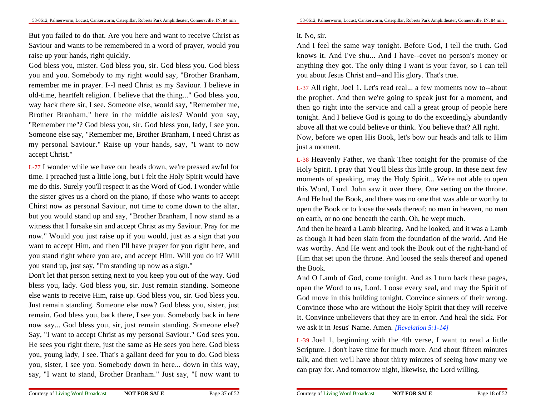53-0612, Palmerworm, Locust, Cankerworm, Caterpillar, Roberts Park Amphitheater, Connersville, IN, 84 min

But you failed to do that. Are you here and want to receive Christ as Saviour and wants to be remembered in a word of prayer, would youraise up your hands, right quickly.

God bless you, mister. God bless you, sir. God bless you. God bless you and you. Somebody to my right would say, "Brother Branham,remember me in prayer. I--I need Christ as my Saviour. I believe in old-time, heartfelt religion. I believe that the thing..." God bless you,way back there sir, I see. Someone else, would say, "Remember me,Brother Branham," here in the middle aisles? Would you say,"Remember me"? God bless you, sir. God bless you, lady, I see you.Someone else say, "Remember me, Brother Branham, I need Christ as my personal Saviour." Raise up your hands, say, "I want to nowaccept Christ."

L-77 I wonder while we have our heads down, we're pressed awful fortime. I preached just a little long, but I felt the Holy Spirit would have me do this. Surely you'll respect it as the Word of God. I wonder while the sister gives us a chord on the piano, if those who wants to acceptChirst now as personal Saviour, not time to come down to the altar,but you would stand up and say, "Brother Branham, I now stand as a witness that I forsake sin and accept Christ as my Saviour. Pray for me now." Would you just raise up if you would, just as a sign that you want to accept Him, and then I'll have prayer for you right here, and you stand right where you are, and accept Him. Will you do it? Willyou stand up, just say, "I'm standing up now as a sign."

 Don't let that person setting next to you keep you out of the way. God bless you, lady. God bless you, sir. Just remain standing. Someone else wants to receive Him, raise up. God bless you, sir. God bless you.Just remain standing. Someone else now? God bless you, sister, justremain. God bless you, back there, I see you. Somebody back in here now say... God bless you, sir, just remain standing. Someone else? Say, "I want to accept Christ as my personal Saviour." God sees you.He sees you right there, just the same as He sees you here. God bless you, young lady, I see. That's a gallant deed for you to do. God bless you, sister, I see you. Somebody down in here... down in this way,say, "I want to stand, Brother Branham." Just say, "I now want to

#### it. No, sir.

And I feel the same way tonight. Before God, I tell the truth. God knows it. And I've shu... And I have--covet no person's money oranything they got. The only thing I want is your favor, so I can tellyou about Jesus Christ and--and His glory. That's true.

L-37 All right, Joel 1. Let's read real... a few moments now to--aboutthe prophet. And then we're going to speak just for a moment, and then go right into the service and call a great group of people here tonight. And I believe God is going to do the exceedingly abundantlyabove all that we could believe or think. You believe that? All right.Now, before we open His Book, let's bow our heads and talk to Himjust a moment.

L-38 Heavenly Father, we thank Thee tonight for the promise of the Holy Spirit. I pray that You'll bless this little group. In these next few moments of speaking, may the Holy Spirit... We're not able to open this Word, Lord. John saw it over there, One setting on the throne.And He had the Book, and there was no one that was able or worthy to open the Book or to loose the seals thereof: no man in heaven, no manon earth, or no one beneath the earth. Oh, he wept much.

And then he heard a Lamb bleating. And he looked, and it was a Lamb as though It had been slain from the foundation of the world. And He was worthy. And He went and took the Book out of the right-hand ofHim that set upon the throne. And loosed the seals thereof and openedthe Book.

And O Lamb of God, come tonight. And as I turn back these pages,open the Word to us, Lord. Loose every seal, and may the Spirit ofGod move in this building tonight. Convince sinners of their wrong.Convince those who are without the Holy Spirit that they will receive It. Convince unbelievers that they are in error. And heal the sick. Forwe ask it in Jesus' Name. Amen. *[Revelation 5:1-14]*

L-39 Joel 1, beginning with the 4th verse, I want to read a little Scripture. I don't have time for much more. And about fifteen minutes talk, and then we'll have about thirty minutes of seeing how many wecan pray for. And tomorrow night, likewise, the Lord willing.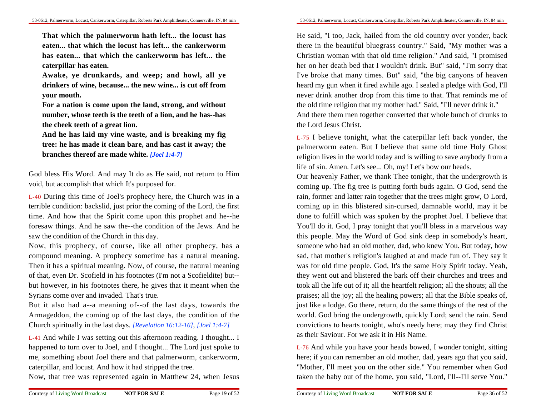**That which the palmerworm hath left... the locust haseaten... that which the locust has left... the cankerworm has eaten... that which the cankerworm has left... thecaterpillar has eaten.**

**Awake, ye drunkards, and weep; and howl, all ye drinkers of wine, because... the new wine... is cut off fromyour mouth.**

**For a nation is come upon the land, strong, and withoutnumber, whose teeth is the teeth of a lion, and he has--hasthe cheek teeth of a great lion.**

**And he has laid my vine waste, and is breaking my fig tree: he has made it clean bare, and has cast it away; thebranches thereof are made white.** *[Joel 1:4-7]*

God bless His Word. And may It do as He said, not return to Himvoid, but accomplish that which It's purposed for.

L-40 During this time of Joel's prophecy here, the Church was in a terrible condition: backslid, just prior the coming of the Lord, the firsttime. And how that the Spirit come upon this prophet and he--he foresaw things. And he saw the--the condition of the Jews. And hesaw the condition of the Church in this day.

Now, this prophecy, of course, like all other prophecy, has a compound meaning. A prophecy sometime has a natural meaning.Then it has a spiritual meaning. Now, of course, the natural meaning of that, even Dr. Scofield in his footnotes (I'm not a Scofieldite) but-but however, in his footnotes there, he gives that it meant when theSyrians come over and invaded. That's true.

But it also had a--a meaning of--of the last days, towards the Armageddon, the coming up of the last days, the condition of theChurch spiritually in the last days. *[Revelation 16:12-16]*, *[Joel 1:4-7]*

L-41 And while I was setting out this afternoon reading. I thought... Ihappened to turn over to Joel, and I thought... The Lord just spoke to me, something about Joel there and that palmerworm, cankerworm,caterpillar, and locust. And how it had stripped the tree.

Now, that tree was represented again in Matthew 24, when Jesus

He said, "I too, Jack, hailed from the old country over yonder, back there in the beautiful bluegrass country." Said, "My mother was a Christian woman with that old time religion." And said, "I promised her on her death bed that I wouldn't drink. But" said, "I'm sorry thatI've broke that many times. But" said, "the big canyons of heaven heard my gun when it fired awhile ago. I sealed a pledge with God, I'llnever drink another drop from this time to that. That reminds me ofthe old time religion that my mother had." Said, "I'll never drink it." And there them men together converted that whole bunch of drunks tothe Lord Jesus Christ.

L-75 I believe tonight, what the caterpillar left back yonder, the palmerworm eaten. But I believe that same old time Holy Ghostreligion lives in the world today and is willing to save anybody from alife of sin. Amen. Let's see... Oh, my! Let's bow our heads.

Our heavenly Father, we thank Thee tonight, that the undergrowth is coming up. The fig tree is putting forth buds again. O God, send the rain, former and latter rain together that the trees might grow, O Lord,coming up in this blistered sin-cursed, damnable world, may it be done to fulfill which was spoken by the prophet Joel. I believe thatYou'll do it. God, I pray tonight that you'll bless in a marvelous way this people. May the Word of God sink deep in somebody's heart,someone who had an old mother, dad, who knew You. But today, how sad, that mother's religion's laughed at and made fun of. They say itwas for old time people. God, It's the same Holy Spirit today. Yeah,they went out and blistered the bark off their churches and trees and took all the life out of it; all the heartfelt religion; all the shouts; all the praises; all the joy; all the healing powers; all that the Bible speaks of,just like a lodge. Go there, return, do the same things of the rest of the world. God bring the undergrowth, quickly Lord; send the rain. Send convictions to hearts tonight, who's needy here; may they find Christas their Saviour. For we ask it in His Name.

L-76 And while you have your heads bowed, I wonder tonight, sitting here; if you can remember an old mother, dad, years ago that you said,"Mother, I'll meet you on the other side." You remember when Godtaken the baby out of the home, you said, "Lord, I'll--I'll serve You."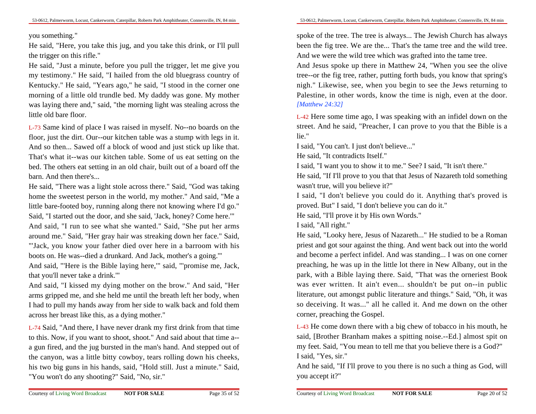you something."

 He said, "Here, you take this jug, and you take this drink, or I'll pullthe trigger on this rifle."

 He said, "Just a minute, before you pull the trigger, let me give you my testimony." He said, "I hailed from the old bluegrass country ofKentucky." He said, "Years ago," he said, "I stood in the corner one morning of a little old trundle bed. My daddy was gone. My motherwas laying there and," said, "the morning light was stealing across thelittle old bare floor.

L-73 Same kind of place I was raised in myself. No--no boards on the floor, just the dirt. Our--our kitchen table was a stump with legs in it.And so then... Sawed off a block of wood and just stick up like that.That's what it--was our kitchen table. Some of us eat setting on the bed. The others eat setting in an old chair, built out of a board off thebarn. And then there's.

He said, "There was a light stole across there." Said, "God was taking home the sweetest person in the world, my mother." And said, "Me a little bare-footed boy, running along there not knowing where I'd go."Said, "I started out the door, and she said, 'Jack, honey? Come here.'"

 And said, "I run to see what she wanted." Said, "She put her armsaround me." Said, "Her gray hair was streaking down her face." Said,"'Jack, you know your father died over here in a barroom with hisboots on. He was--died a drunkard. And Jack, mother's a going.'"

 And said, "'Here is the Bible laying here,'" said, "'promise me, Jack,that you'll never take a drink.'"

 And said, "I kissed my dying mother on the brow." And said, "Herarms gripped me, and she held me until the breath left her body, when I had to pull my hands away from her side to walk back and fold themacross her breast like this, as a dying mother."

L-74 Said, "And there, I have never drank my first drink from that time to this. Now, if you want to shoot, shoot." And said about that time a-a gun fired, and the jug bursted in the man's hand. And stepped out ofthe canyon, was a little bitty cowboy, tears rolling down his cheeks,his two big guns in his hands, said, "Hold still. Just a minute." Said,"You won't do any shooting?" Said, "No, sir."

spoke of the tree. The tree is always... The Jewish Church has always been the fig tree. We are the... That's the tame tree and the wild tree.And we were the wild tree which was grafted into the tame tree.

And Jesus spoke up there in Matthew 24, "When you see the olive tree--or the fig tree, rather, putting forth buds, you know that spring's nigh." Likewise, see, when you begin to see the Jews returning to Palestine, in other words, know the time is nigh, even at the door.*[Matthew 24:32]*

L-42 Here some time ago, I was speaking with an infidel down on the street. And he said, "Preacher, I can prove to you that the Bible is alie."

I said, "You can't. I just don't believe..."

He said, "It contradicts Itself."

I said, "I want you to show it to me." See? I said, "It isn't there."

 He said, "If I'll prove to you that that Jesus of Nazareth told somethingwasn't true, will you believe it?"

 I said, "I don't believe you could do it. Anything that's proved isproved. But" I said, "I don't believe you can do it."

He said, "I'll prove it by His own Words."

I said, "All right."

 He said, "Looky here, Jesus of Nazareth..." He studied to be a Roman priest and got sour against the thing. And went back out into the world and become a perfect infidel. And was standing... I was on one cornerpreaching, he was up in the little lot there in New Albany, out in the park, with a Bible laying there. Said, "That was the orneriest Book was ever written. It ain't even... shouldn't be put on--in public literature, out amongst public literature and things." Said, "Oh, it was so deceiving. It was..." all he called it. And me down on the othercorner, preaching the Gospel.

L-43 He come down there with a big chew of tobacco in his mouth, he said, [Brother Branham makes a spitting noise.--Ed.] almost spit onmy feet. Said, "You mean to tell me that you believe there is a God?"I said, "Yes, sir."

And he said, "If I'll prove to you there is no such a thing as God, willyou accept it?"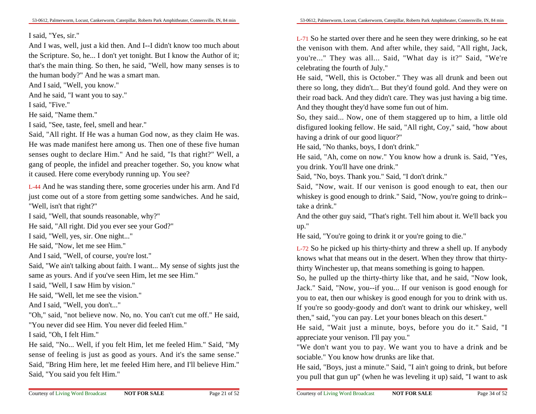#### I said, "Yes, sir."

 And I was, well, just a kid then. And I--I didn't know too much aboutthe Scripture. So, he... I don't yet tonight. But I know the Author of it;that's the main thing. So then, he said, "Well, how many senses is tothe human body?" And he was a smart man.

And I said, "Well, you know."

And he said, "I want you to say."

I said, "Five."

He said, "Name them."

I said, "See, taste, feel, smell and hear."

Said, "All right. If He was a human God now, as they claim He was.He was made manifest here among us. Then one of these five human senses ought to declare Him." And he said, "Is that right?" Well, a gang of people, the infidel and preacher together. So, you know whatit caused. Here come everybody running up. You see?

L-44 And he was standing there, some groceries under his arm. And I'd just come out of a store from getting some sandwiches. And he said,"Well, isn't that right?"

I said, "Well, that sounds reasonable, why?"

He said, "All right. Did you ever see your God?"

I said, "Well, yes, sir. One night..."

He said, "Now, let me see Him."

And I said, "Well, of course, you're lost."

 Said, "We ain't talking about faith. I want... My sense of sights just thesame as yours. And if you've seen Him, let me see Him."

I said, "Well, I saw Him by vision."

He said, "Well, let me see the vision."

And I said, "Well, you don't..."

 "Oh," said, "not believe now. No, no. You can't cut me off." He said,"You never did see Him. You never did feeled Him."

I said, "Oh, I felt Him."

 He said, "No... Well, if you felt Him, let me feeled Him." Said, "My sense of feeling is just as good as yours. And it's the same sense." Said, "Bring Him here, let me feeled Him here, and I'll believe Him."Said, "You said you felt Him."

L-71 So he started over there and he seen they were drinking, so he eatthe venison with them. And after while, they said, "All right, Jack,you're..." They was all... Said, "What day is it?" Said, "We'recelebrating the fourth of July."

 He said, "Well, this is October." They was all drunk and been outthere so long, they didn't... But they'd found gold. And they were on their road back. And they didn't care. They was just having a big time.And they thought they'd have some fun out of him.

So, they said... Now, one of them staggered up to him, a little old disfigured looking fellow. He said, "All right, Coy," said, "how abouthaving a drink of our good liquor?"

He said, "No thanks, boys, I don't drink."

He said, "Ah, come on now." You know how a drunk is. Said, "Yes,you drink. You'll have one drink."

Said, "No, boys. Thank you." Said, "I don't drink."

 Said, "Now, wait. If our venison is good enough to eat, then ourwhiskey is good enough to drink." Said, "Now, you're going to drink-take a drink."

And the other guy said, "That's right. Tell him about it. We'll back youup."

He said, "You're going to drink it or you're going to die."

L-72 So he picked up his thirty-thirty and threw a shell up. If anybody knows what that means out in the desert. When they throw that thirtythirty Winchester up, that means something is going to happen.

So, he pulled up the thirty-thirty like that, and he said, "Now look,Jack." Said, "Now, you--if you... If our venison is good enough foryou to eat, then our whiskey is good enough for you to drink with us.If you're so goody-goody and don't want to drink our whiskey, wellthen," said, "you can pay. Let your bones bleach on this desert."

 He said, "Wait just a minute, boys, before you do it." Said, "Iappreciate your venison. I'll pay you."

 "We don't want you to pay. We want you to have a drink and besociable." You know how drunks are like that.

He said, "Boys, just a minute." Said, "I ain't going to drink, but beforeyou pull that gun up" (when he was leveling it up) said, "I want to ask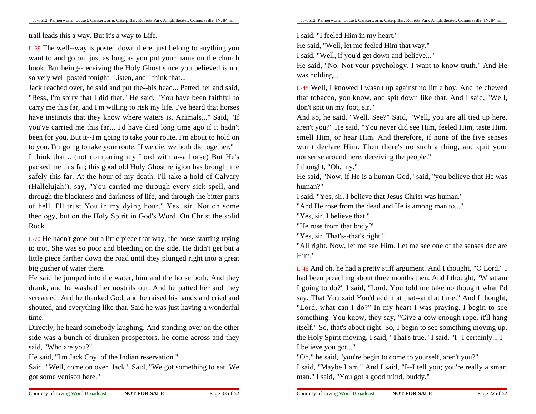trail leads this a way. But it's a way to Life.

L-69 The well--way is posted down there, just belong to anything you want to and go on, just as long as you put your name on the church book. But being--receiving the Holy Ghost since you believed is notso very well posted tonight. Listen, and I think that...

Jack reached over, he said and put the--his head... Patted her and said,"Bess, I'm sorry that I did that." He said, "You have been faithful to carry me this far, and I'm willing to risk my life. I've heard that horses have instincts that they know where waters is. Animals..." Said, "Ifyou've carried me this far... I'd have died long time ago if it hadn'tbeen for you. But it--I'm going to take your route. I'm about to hold onto you. I'm going to take your route. If we die, we both die together."

 I think that... (not comparing my Lord with a--a horse) But He's packed me this far; this good old Holy Ghost religion has brought me safely this far. At the hour of my death, I'll take a hold of Calvary (Hallelujah!), say, "You carried me through every sick spell, and through the blackness and darkness of life, and through the bitter parts of hell. I'll trust You in my dying hour." Yes, sir. Not on some theology, but on the Holy Spirit in God's Word. On Christ the solidRock.

L-70 He hadn't gone but a little piece that way, the horse starting trying to trot. She was so poor and bleeding on the side. He didn't get but a little piece farther down the road until they plunged right into a greatbig gusher of water there.

He said he jumped into the water, him and the horse both. And they drank, and he washed her nostrils out. And he patted her and they screamed. And he thanked God, and he raised his hands and cried and shouted, and everything like that. Said he was just having a wonderfultime.

Directly, he heard somebody laughing. And standing over on the otherside was a bunch of drunken prospectors, he come across and theysaid, "Who are you?"

He said, "I'm Jack Coy, of the Indian reservation."

 Said, "Well, come on over, Jack." Said, "We got something to eat. Wegot some venison here."

I said, "I feeled Him in my heart."

He said, "Well, let me feeled Him that way."

I said, "Well, if you'd get down and believe..."

 He said, "No. Not your psychology. I want to know truth." And Hewas holding...

L-45 Well, I knowed I wasn't up against no little boy. And he chewed that tobacco, you know, and spit down like that. And I said, "Well,don't spit on my foot, sir."

And so, he said, "Well. See?" Said, "Well, you are all tied up here,aren't you?" He said, "You never did see Him, feeled Him, taste Him,smell Him, or hear Him. And therefore, if none of the five senses won't declare Him. Then there's no such a thing, and quit yournonsense around here, deceiving the people."

I thought, "Oh, my."

He said, "Now, if He is a human God," said, "you believe that He washuman?"

I said, "Yes, sir. I believe that Jesus Christ was human."

"And He rose from the dead and He is among man to..."

"Yes, sir. I believe that."

"He rose from that body?"

Courtesy of Living Word Broadcast

"Yes, sir. That's--that's right."

 "All right. Now, let me see Him. Let me see one of the senses declareHim."

L-46 And oh, he had a pretty stiff argument. And I thought, "O Lord." Ihad been preaching about three months then. And I thought, "What am I going to do?" I said, "Lord, You told me take no thought what I'd say. That You said You'd add it at that--at that time." And I thought,"Lord, what can I do?" In my heart I was praying. I begin to see something. You know, they say, "Give a cow enough rope, it'll hang itself." So, that's about right. So, I begin to see something moving up,the Holy Spirit moving. I said, "That's true." I said, "I--I certainly... I--I believe you got..."

"Oh," he said, "you're begin to come to yourself, aren't you?"

 I said, "Maybe I am." And I said, "I--I tell you; you're really a smartman." I said, "You got a good mind, buddy."

**NOT FOR SALE**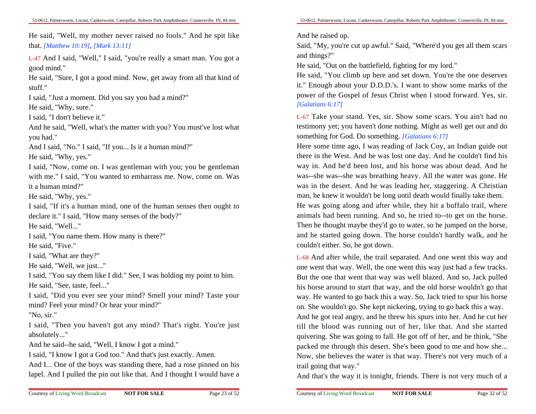He said, "Well, my mother never raised no fools." And he spit likethat. *[Matthew 10:19]*, *[Mark 13:11]*

L-47 And I said, "Well," I said, "you're really a smart man. You got agood mind."

 He said, "Sure, I got a good mind. Now, get away from all that kind ofstuff."

I said, "Just a moment. Did you say you had a mind?"

He said, "Why, sure."

I said, "I don't believe it."

 And he said, "Well, what's the matter with you? You must've lost whatyou had."

 And I said, "No." I said, "If you... Is it a human mind?"He said, "Why, yes."

 I said, "Now, come on. I was gentleman with you; you be gentleman with me." I said, "You wanted to embarrass me. Now, come on. Wasit a human mind?"

He said, "Why, yes."

 I said, "If it's a human mind, one of the human senses then ought todeclare it." I said, "How many senses of the body?"

He said, "Well..."

I said, "You name them. How many is there?"

He said, "Five."

I said, "What are they?"

He said, "Well, we just..."

 I said, "You say them like I did." See, I was holding my point to him.He said, "See, taste, feel..."

 I said, "Did you ever see your mind? Smell your mind? Taste yourmind? Feel your mind? Or hear your mind?"

"No, sir."

I said, "Then you haven't got any mind? That's right. You're justabsolutely..."

And he said--he said, "Well, I know I got a mind."

I said, "I know I got a God too." And that's just exactly. Amen.

And I... One of the boys was standing there, had a rose pinned on hislapel. And I pulled the pin out like that. And I thought I would have a

And he raised up.

Said, "My, you're cut up awful." Said, "Where'd you get all them scarsand things?"

He said, "Out on the battlefield, fighting for my lord."

 He said, "You climb up here and set down. You're the one deserves it." Enough about your D.D.D.'s. I want to show some marks of the power of the Gospel of Jesus Christ when I stood forward. Yes, sir.*[Galatians 6:17]*

L-67 Take your stand. Yes, sir. Show some scars. You ain't had no testimony yet; you haven't done nothing. Might as well get out and dosomething for God. Do something. *[Galatians 6:17]*

Here some time ago, I was reading of Jack Coy, an Indian guide outthere in the West. And he was lost one day. And he couldn't find his way in. And he'd been lost, and his horse was about dead. And he was--she was--she was breathing heavy. All the water was gone. He was in the desert. And he was leading her, staggering. A Christian man, he knew it wouldn't be long until death would finally take them.He was going along and after while, they hit a buffalo trail, where animals had been running. And so, he tried to--to get on the horse.Then he thought maybe they'd go to water, so he jumped on the horse,and he started going down. The horse couldn't hardly walk, and hecouldn't either. So, he got down.

L-68 And after while, the trail separated. And one went this way and one went that way. Well, the one went this way just had a few tracks.But the one that went that way was well blazed. And so, Jack pulled his horse around to start that way, and the old horse wouldn't go thatway. He wanted to go back this a way. So, Jack tried to spur his horseon. She wouldn't go. She kept nickering, trying to go back this a way.

And he got real angry, and he threw his spurs into her. And he cut hertill the blood was running out of her, like that. And she started quivering. She was going to fall. He got off of her, and he think, "She packed me through this desert. She's been good to me and how she...Now, she believes the water is that way. There's not very much of atrail going that way."

And that's the way it is tonight, friends. There is not very much of a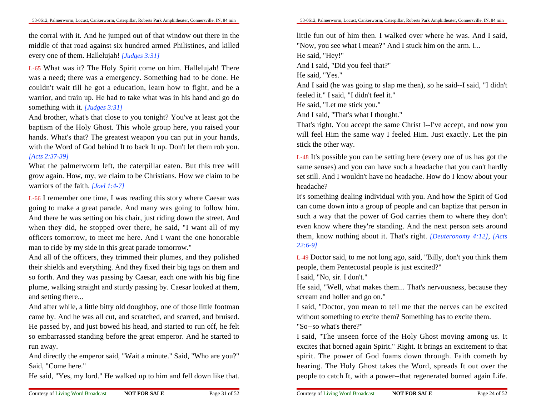the corral with it. And he jumped out of that window out there in the middle of that road against six hundred armed Philistines, and killedevery one of them. Hallelujah! *[Judges 3:31]*

L-65 What was it? The Holy Spirit come on him. Hallelujah! There was a need; there was a emergency. Something had to be done. He couldn't wait till he got a education, learn how to fight, and be a warrior, and train up. He had to take what was in his hand and go dosomething with it. *[Judges 3:31]*

 And brother, what's that close to you tonight? You've at least got the baptism of the Holy Ghost. This whole group here, you raised yourhands. What's that? The greatest weapon you can put in your hands,with the Word of God behind It to back It up. Don't let them rob you.*[Acts 2:37-39]*

 What the palmerworm left, the caterpillar eaten. But this tree willgrow again. How, my, we claim to be Christians. How we claim to bewarriors of the faith. *[Joel 1:4-7]*

L-66 I remember one time, I was reading this story where Caesar was going to make a great parade. And many was going to follow him.And there he was setting on his chair, just riding down the street. And when they did, he stopped over there, he said, "I want all of my officers tomorrow, to meet me here. And I want the one honorableman to ride by my side in this great parade tomorrow."

 And all of the officers, they trimmed their plumes, and they polished their shields and everything. And they fixed their big tags on them and so forth. And they was passing by Caesar, each one with his big fine plume, walking straight and sturdy passing by. Caesar looked at them,and setting there...

And after while, a little bitty old doughboy, one of those little footman came by. And he was all cut, and scratched, and scarred, and bruised.He passed by, and just bowed his head, and started to run off, he feltso embarrassed standing before the great emperor. And he started torun away.

And directly the emperor said, "Wait a minute." Said, "Who are you?"Said, "Come here."

He said, "Yes, my lord." He walked up to him and fell down like that.

little fun out of him then. I walked over where he was. And I said,"Now, you see what I mean?" And I stuck him on the arm. I...He said, "Hey!"And I said, "Did you feel that?"

He said, "Yes."

 And I said (he was going to slap me then), so he said--I said, "I didn'tfeeled it." I said, "I didn't feel it."

He said, "Let me stick you."

And I said, "That's what I thought."

 That's right. You accept the same Christ I--I've accept, and now you will feel Him the same way I feeled Him. Just exactly. Let the pinstick the other way.

L-48 It's possible you can be setting here (every one of us has got the same senses) and you can have such a headache that you can't hardly set still. And I wouldn't have no headache. How do I know about yourheadache?

 It's something dealing individual with you. And how the Spirit of God can come down into a group of people and can baptize that person in such a way that the power of God carries them to where they don'teven know where they're standing. And the next person sets around them, know nothing about it. That's right. *[Deuteronomy 4:12]*, *[Acts22:6-9]*

L-49 Doctor said, to me not long ago, said, "Billy, don't you think thempeople, them Pentecostal people is just excited?"

I said, "No, sir. I don't."

 He said, "Well, what makes them... That's nervousness, because theyscream and holler and go on."

 I said, "Doctor, you mean to tell me that the nerves can be excitedwithout something to excite them? Something has to excite them.

"So--so what's there?"

 I said, "The unseen force of the Holy Ghost moving among us. Itexcites that borned again Spirit." Right. It brings an excitement to thatspirit. The power of God foams down through. Faith cometh by hearing. The Holy Ghost takes the Word, spreads It out over thepeople to catch It, with a power--that regenerated borned again Life.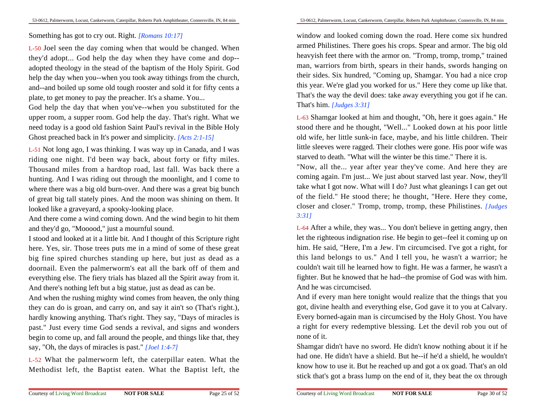#### Something has got to cry out. Right. *[Romans 10:17]*

L-50 Joel seen the day coming when that would be changed. When they'd adopt... God help the day when they have come and dop-adopted theology in the stead of the baptism of the Holy Spirit. God help the day when you--when you took away tithings from the church,and--and boiled up some old tough rooster and sold it for fifty cents aplate, to get money to pay the preacher. It's a shame. You...

God help the day that when you've--when you substituted for the upper room, a supper room. God help the day. That's right. What we need today is a good old fashion Saint Paul's revival in the Bible HolyGhost preached back in It's power and simplicity. *[Acts 2:1-15]*

L-51 Not long ago, I was thinking. I was way up in Canada, and I was riding one night. I'd been way back, about forty or fifty miles.Thousand miles from a hardtop road, last fall. Was back there a hunting. And I was riding out through the moonlight, and I come to where there was a big old burn-over. And there was a great big bunch of great big tall stately pines. And the moon was shining on them. Itlooked like a graveyard, a spooky-looking place.

And there come a wind coming down. And the wind begin to hit themand they'd go, "Mooood," just a mournful sound.

I stood and looked at it a little bit. And I thought of this Scripture righthere. Yes, sir. Those trees puts me in a mind of some of these greatbig fine spired churches standing up here, but just as dead as a doornail. Even the palmerworm's eat all the bark off of them and everything else. The fiery trials has blazed all the Spirit away from it.And there's nothing left but a big statue, just as dead as can be.

And when the rushing mighty wind comes from heaven, the only thing they can do is groan, and carry on, and say it ain't so (That's right.),hardly knowing anything. That's right. They say, "Days of miracles is past." Just every time God sends a revival, and signs and wonders begin to come up, and fall around the people, and things like that, theysay, "Oh, the days of miracles is past." *[Joel 1:4-7]*

L-52 What the palmerworm left, the caterpillar eaten. What theMethodist left, the Baptist eaten. What the Baptist left, the

window and looked coming down the road. Here come six hundred armed Philistines. There goes his crops. Spear and armor. The big old heavyish feet there with the armor on. "Tromp, tromp, tromp," trained man, warriors from birth, spears in their hands, swords hanging on their sides. Six hundred, "Coming up, Shamgar. You had a nice crop this year. We're glad you worked for us." Here they come up like that.That's the way the devil does: take away everything you got if he can.That's him. *[Judges 3:31]*

L-63 Shamgar looked at him and thought, "Oh, here it goes again." He stood there and he thought, "Well..." Looked down at his poor little old wife, her little sunk-in face, maybe, and his little children. Theirlittle sleeves were ragged. Their clothes were gone. His poor wife wasstarved to death. "What will the winter be this time." There it is.

"Now, all the... year after year they've come. And here they are coming again. I'm just... We just about starved last year. Now, they'lltake what I got now. What will I do? Just what gleanings I can get outof the field." He stood there; he thought, "Here. Here they come,closer and closer." Tromp, tromp, tromp, these Philistines. *[Judges3:31]*

L-64 After a while, they was... You don't believe in getting angry, then let the righteous indignation rise. He begin to get--feel it coming up on him. He said, "Here, I'm a Jew. I'm circumcised. I've got a right, for this land belongs to us." And I tell you, he wasn't a warrior; he couldn't wait till he learned how to fight. He was a farmer, he wasn't a fighter. But he knowed that he had--the promise of God was with him.And he was circumcised.

And if every man here tonight would realize that the things that you got, divine health and everything else, God gave it to you at Calvary.Every borned-again man is circumcised by the Holy Ghost. You have a right for every redemptive blessing. Let the devil rob you out ofnone of it.

Shamgar didn't have no sword. He didn't know nothing about it if he had one. He didn't have a shield. But he--if he'd a shield, he wouldn'tknow how to use it. But he reached up and got a ox goad. That's an oldstick that's got a brass lump on the end of it, they beat the ox through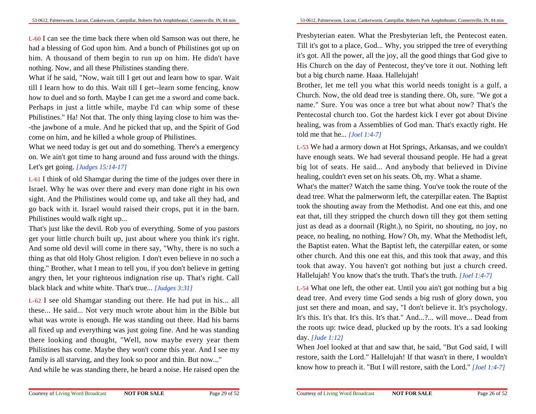L-60 I can see the time back there when old Samson was out there, he had a blessing of God upon him. And a bunch of Philistines got up on him. A thousand of them begin to run up on him. He didn't havenothing. Now, and all these Philistines standing there.

What if he said, "Now, wait till I get out and learn how to spar. Waittill I learn how to do this. Wait till I get--learn some fencing, know how to duel and so forth. Maybe I can get me a sword and come back.Perhaps in just a little while, maybe I'd can whip some of these Philistines." Ha! Not that. The only thing laying close to him was the--the jawbone of a mule. And he picked that up, and the Spirit of Godcome on him, and he killed a whole group of Philistines.

What we need today is get out and do something. There's a emergency on. We ain't got time to hang around and fuss around with the things.Let's get going. *[Judges 15:14-17]*

L-61 I think of old Shamgar during the time of the judges over there in Israel. Why he was over there and every man done right in his own sight. And the Philistines would come up, and take all they had, and go back with it. Israel would raised their crops, put it in the barn.Philistines would walk right up...

That's just like the devil. Rob you of everything. Some of you pastors get your little church built up, just about where you think it's right.And some old devil will come in there say, "Why, there is no such a thing as that old Holy Ghost religion. I don't even believe in no such a thing." Brother, what I mean to tell you, if you don't believe in getting angry then, let your righteous indignation rise up. That's right. Callblack black and white white. That's true... *[Judges 3:31]*

L-62 I see old Shamgar standing out there. He had put in his... allthese... He said... Not very much wrote about him in the Bible butwhat was wrote is enough. He was standing out there. Had his barns all fixed up and everything was just going fine. And he was standing there looking and thought, "Well, now maybe every year them Philistines has come. Maybe they won't come this year. And I see myfamily is all starving, and they look so poor and thin. But now..."

And while he was standing there, he heard a noise. He raised open the

Presbyterian eaten. What the Presbyterian left, the Pentecost eaten.Till it's got to a place, God... Why, you stripped the tree of everything it's got. All the power, all the joy, all the good things that God give to His Church on the day of Pentecost, they've tore it out. Nothing leftbut a big church name. Haaa. Hallelujah!

Brother, let me tell you what this world needs tonight is a gulf, a Church. Now, the old dead tree is standing there. Oh, sure. "We got a name." Sure. You was once a tree but what about now? That's the Pentecostal church too. Got the hardest kick I ever got about Divine healing, was from a Assemblies of God man. That's exactly right. Hetold me that he... *[Joel 1:4-7]*

L-53 We had a armory down at Hot Springs, Arkansas, and we couldn'thave enough seats. We had several thousand people. He had a greatbig lot of seats. He said... And anybody that believed in Divinehealing, couldn't even set on his seats. Oh, my. What a shame.

What's the matter? Watch the same thing. You've took the route of the dead tree. What the palmerworm left, the caterpillar eaten. The Baptisttook the shouting away from the Methodist. And one eat this, and one eat that, till they stripped the church down till they got them setting just as dead as a doornail (Right.), no Spirit, no shouting, no joy, no peace, no healing, no nothing. How? Oh, my. What the Methodist left,the Baptist eaten. What the Baptist left, the caterpillar eaten, or some other church. And this one eat this, and this took that away, and this took that away. You haven't got nothing but just a church creed.Hallelujah! You know that's the truth. That's the truth. *[Joel 1:4-7]*

L-54 What one left, the other eat. Until you ain't got nothing but a big dead tree. And every time God sends a big rush of glory down, you just set there and moan, and say, "I don't believe it. It's psychology.It's this. It's that. It's this. It's that." And...?... will move... Dead from the roots up: twice dead, plucked up by the roots. It's a sad lookingday. *[Jude 1:12]*

When Joel looked at that and saw that, he said, "But God said, I willrestore, saith the Lord." Hallelujah! If that wasn't in there, I wouldn'tknow how to preach it. "But I will restore, saith the Lord." *[Joel 1:4-7]*